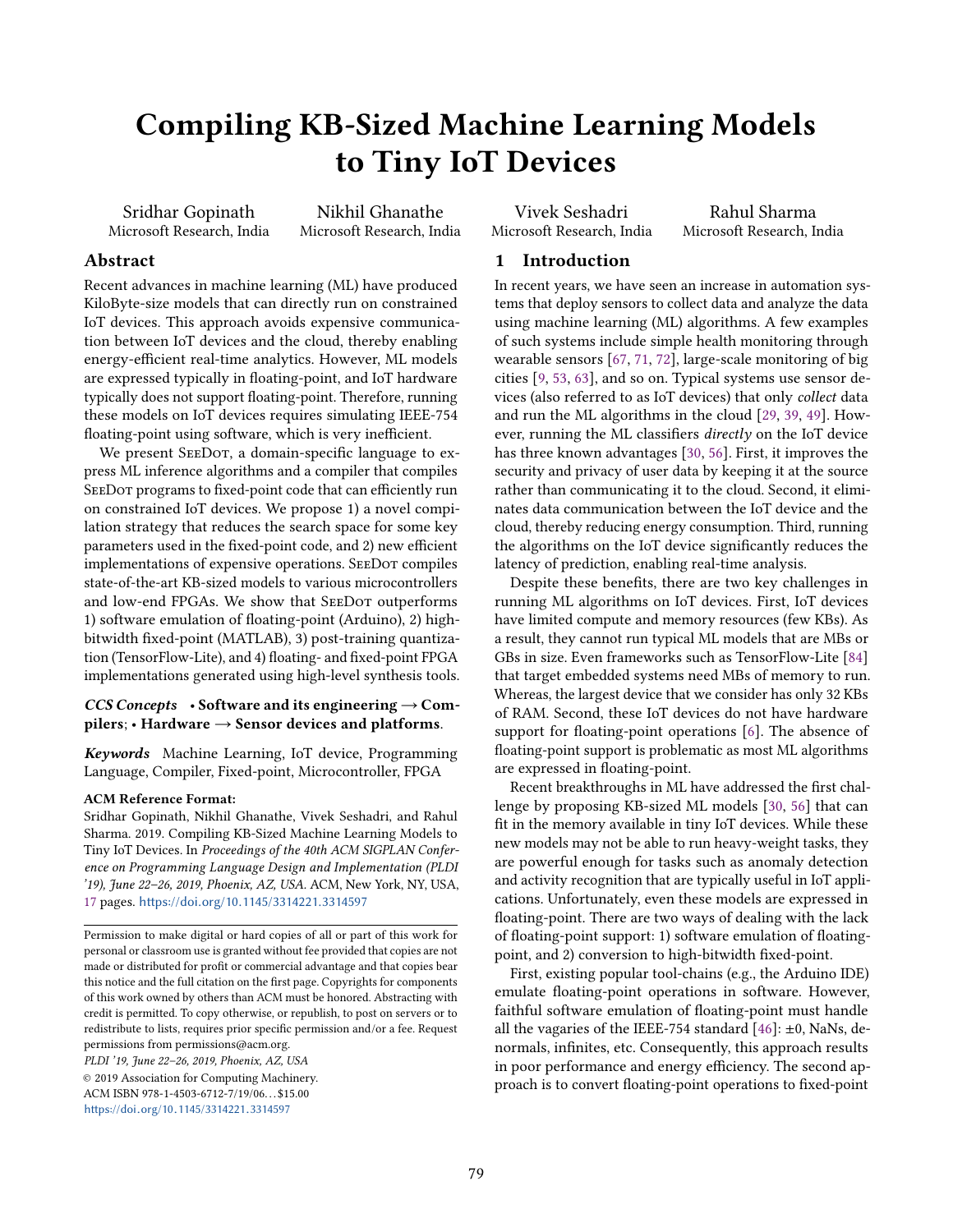# Compiling KB-Sized Machine Learning Models to Tiny IoT Devices

Sridhar Gopinath Microsoft Research, India

Nikhil Ghanathe Microsoft Research, India

Vivek Seshadri Microsoft Research, India

Rahul Sharma Microsoft Research, India

# Abstract

Recent advances in machine learning (ML) have produced KiloByte-size models that can directly run on constrained IoT devices. This approach avoids expensive communication between IoT devices and the cloud, thereby enabling energy-efficient real-time analytics. However, ML models are expressed typically in floating-point, and IoT hardware typically does not support floating-point. Therefore, running these models on IoT devices requires simulating IEEE-754 floating-point using software, which is very inefficient.

We present SEEDOT, a domain-specific language to express ML inference algorithms and a compiler that compiles SeeDot programs to fixed-point code that can efficiently run on constrained IoT devices. We propose 1) a novel compilation strategy that reduces the search space for some key parameters used in the fixed-point code, and 2) new efficient implementations of expensive operations. SEEDOT compiles state-of-the-art KB-sized models to various microcontrollers and low-end FPGAs. We show that SEEDOT outperforms 1) software emulation of floating-point (Arduino), 2) highbitwidth fixed-point (MATLAB), 3) post-training quantization (TensorFlow-Lite), and 4) floating- and fixed-point FPGA implementations generated using high-level synthesis tools.

# CCS Concepts • Software and its engineering  $\rightarrow$  Compilers; • Hardware  $\rightarrow$  Sensor devices and platforms.

Keywords Machine Learning, IoT device, Programming Language, Compiler, Fixed-point, Microcontroller, FPGA

# ACM Reference Format:

Sridhar Gopinath, Nikhil Ghanathe, Vivek Seshadri, and Rahul Sharma. 2019. Compiling KB-Sized Machine Learning Models to Tiny IoT Devices. In Proceedings of the 40th ACM SIGPLAN Conference on Programming Language Design and Implementation (PLDI '19), June 22–26, 2019, Phoenix, AZ, USA. ACM, New York, NY, USA, [17](#page-16-0) pages. https://doi.org/10.[1145/3314221](https://doi.org/10.1145/3314221.3314597).<sup>3314597</sup>

PLDI '19, June 22–26, 2019, Phoenix, AZ, USA

© 2019 Association for Computing Machinery. ACM ISBN 978-1-4503-6712-7/19/06. . . \$15.00 https://doi.org/10.[1145/3314221](https://doi.org/10.1145/3314221.3314597).<sup>3314597</sup>

# 1 Introduction

In recent years, we have seen an increase in automation systems that deploy sensors to collect data and analyze the data using machine learning (ML) algorithms. A few examples of such systems include simple health monitoring through wearable sensors [\[67,](#page-16-1) [71,](#page-16-2) [72\]](#page-16-3), large-scale monitoring of big cities [\[9,](#page-14-0) [53,](#page-15-0) [63\]](#page-15-1), and so on. Typical systems use sensor devices (also referred to as IoT devices) that only collect data and run the ML algorithms in the cloud [\[29,](#page-14-1) [39,](#page-15-2) [49\]](#page-15-3). However, running the ML classifiers directly on the IoT device has three known advantages [\[30,](#page-14-2) [56\]](#page-15-4). First, it improves the security and privacy of user data by keeping it at the source rather than communicating it to the cloud. Second, it eliminates data communication between the IoT device and the cloud, thereby reducing energy consumption. Third, running the algorithms on the IoT device significantly reduces the latency of prediction, enabling real-time analysis.

Despite these benefits, there are two key challenges in running ML algorithms on IoT devices. First, IoT devices have limited compute and memory resources (few KBs). As a result, they cannot run typical ML models that are MBs or GBs in size. Even frameworks such as TensorFlow-Lite [\[84\]](#page-16-4) that target embedded systems need MBs of memory to run. Whereas, the largest device that we consider has only 32 KBs of RAM. Second, these IoT devices do not have hardware support for floating-point operations [\[6\]](#page-14-3). The absence of floating-point support is problematic as most ML algorithms are expressed in floating-point.

Recent breakthroughs in ML have addressed the first challenge by proposing KB-sized ML models [\[30,](#page-14-2) [56\]](#page-15-4) that can fit in the memory available in tiny IoT devices. While these new models may not be able to run heavy-weight tasks, they are powerful enough for tasks such as anomaly detection and activity recognition that are typically useful in IoT applications. Unfortunately, even these models are expressed in floating-point. There are two ways of dealing with the lack of floating-point support: 1) software emulation of floatingpoint, and 2) conversion to high-bitwidth fixed-point.

First, existing popular tool-chains (e.g., the Arduino IDE) emulate floating-point operations in software. However, faithful software emulation of floating-point must handle all the vagaries of the IEEE-754 standard  $[46]$ : ±0, NaNs, denormals, infinites, etc. Consequently, this approach results in poor performance and energy efficiency. The second approach is to convert floating-point operations to fixed-point

Permission to make digital or hard copies of all or part of this work for personal or classroom use is granted without fee provided that copies are not made or distributed for profit or commercial advantage and that copies bear this notice and the full citation on the first page. Copyrights for components of this work owned by others than ACM must be honored. Abstracting with credit is permitted. To copy otherwise, or republish, to post on servers or to redistribute to lists, requires prior specific permission and/or a fee. Request permissions from permissions@acm.org.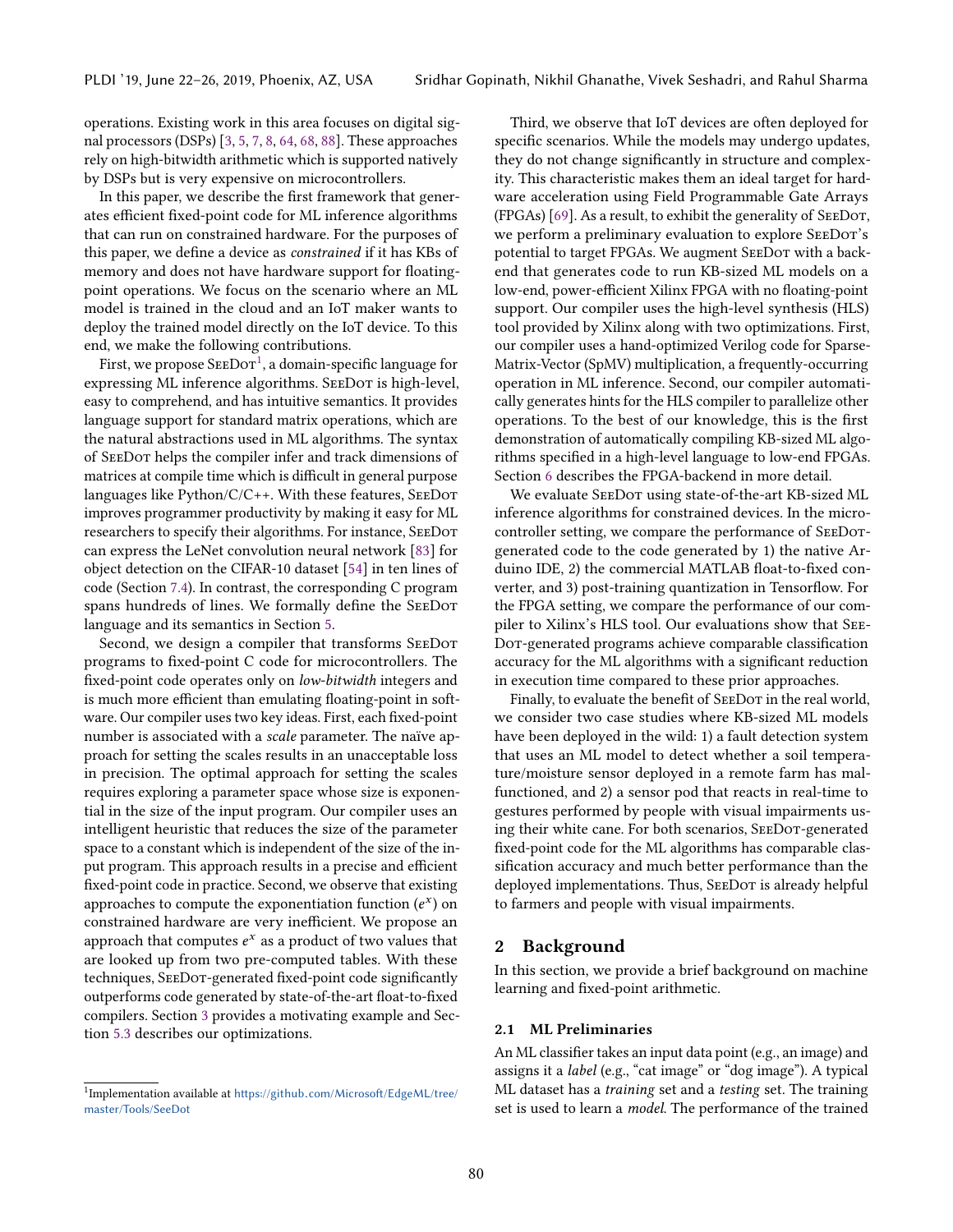operations. Existing work in this area focuses on digital signal processors (DSPs) [\[3,](#page-14-4) [5,](#page-14-5) [7,](#page-14-6) [8,](#page-14-7) [64,](#page-15-6) [68,](#page-16-5) [88\]](#page-16-6). These approaches rely on high-bitwidth arithmetic which is supported natively by DSPs but is very expensive on microcontrollers.

In this paper, we describe the first framework that generates efficient fixed-point code for ML inference algorithms that can run on constrained hardware. For the purposes of this paper, we define a device as constrained if it has KBs of memory and does not have hardware support for floatingpoint operations. We focus on the scenario where an ML model is trained in the cloud and an IoT maker wants to deploy the trained model directly on the IoT device. To this end, we make the following contributions.

First, we propose  ${\rm SEEDor^1}$  ${\rm SEEDor^1}$  ${\rm SEEDor^1}$ , a domain-specific language for expressing ML inference algorithms. SEEDOT is high-level, easy to comprehend, and has intuitive semantics. It provides language support for standard matrix operations, which are the natural abstractions used in ML algorithms. The syntax of SeeDot helps the compiler infer and track dimensions of matrices at compile time which is difficult in general purpose languages like Python/C/C++. With these features, SeeDot improves programmer productivity by making it easy for ML researchers to specify their algorithms. For instance, SeeDot can express the LeNet convolution neural network [\[83\]](#page-16-7) for object detection on the CIFAR-10 dataset [\[54\]](#page-15-7) in ten lines of code (Section [7.4\)](#page-12-0). In contrast, the corresponding C program spans hundreds of lines. We formally define the SeeDot language and its semantics in Section [5.](#page-3-0)

Second, we design a compiler that transforms SEEDOT programs to fixed-point C code for microcontrollers. The fixed-point code operates only on low-bitwidth integers and is much more efficient than emulating floating-point in software. Our compiler uses two key ideas. First, each fixed-point number is associated with a scale parameter. The naïve approach for setting the scales results in an unacceptable loss in precision. The optimal approach for setting the scales requires exploring a parameter space whose size is exponential in the size of the input program. Our compiler uses an intelligent heuristic that reduces the size of the parameter space to a constant which is independent of the size of the input program. This approach results in a precise and efficient fixed-point code in practice. Second, we observe that existing approaches to compute the exponentiation function  $(e^x)$  on<br>constrained hardware are very inefficient. We propose an constrained hardware are very inefficient. We propose an approach that computes  $e^x$  as a product of two values that  $\frac{1}{2}$  are looked up from two pre-computed tables. With these are looked up from two pre-computed tables. With these techniques, SeeDot-generated fixed-point code significantly outperforms code generated by state-of-the-art float-to-fixed compilers. Section [3](#page-2-0) provides a motivating example and Section [5.3](#page-4-0) describes our optimizations.

Third, we observe that IoT devices are often deployed for specific scenarios. While the models may undergo updates, they do not change significantly in structure and complexity. This characteristic makes them an ideal target for hardware acceleration using Field Programmable Gate Arrays (FPGAs) [\[69\]](#page-16-8). As a result, to exhibit the generality of SeeDot, we perform a preliminary evaluation to explore SEEDOT's potential to target FPGAs. We augment SEEDOT with a backend that generates code to run KB-sized ML models on a low-end, power-efficient Xilinx FPGA with no floating-point support. Our compiler uses the high-level synthesis (HLS) tool provided by Xilinx along with two optimizations. First, our compiler uses a hand-optimized Verilog code for Sparse-Matrix-Vector (SpMV) multiplication, a frequently-occurring operation in ML inference. Second, our compiler automatically generates hints for the HLS compiler to parallelize other operations. To the best of our knowledge, this is the first demonstration of automatically compiling KB-sized ML algorithms specified in a high-level language to low-end FPGAs. Section [6](#page-7-0) describes the FPGA-backend in more detail.

We evaluate SEEDOT using state-of-the-art KB-sized ML inference algorithms for constrained devices. In the microcontroller setting, we compare the performance of SeeDotgenerated code to the code generated by 1) the native Arduino IDE, 2) the commercial MATLAB float-to-fixed converter, and 3) post-training quantization in Tensorflow. For the FPGA setting, we compare the performance of our compiler to Xilinx's HLS tool. Our evaluations show that See-Dot-generated programs achieve comparable classification accuracy for the ML algorithms with a significant reduction in execution time compared to these prior approaches.

Finally, to evaluate the benefit of SEEDOT in the real world, we consider two case studies where KB-sized ML models have been deployed in the wild: 1) a fault detection system that uses an ML model to detect whether a soil temperature/moisture sensor deployed in a remote farm has malfunctioned, and 2) a sensor pod that reacts in real-time to gestures performed by people with visual impairments using their white cane. For both scenarios, SeeDot-generated fixed-point code for the ML algorithms has comparable classification accuracy and much better performance than the deployed implementations. Thus, SEEDOT is already helpful to farmers and people with visual impairments.

# 2 Background

In this section, we provide a brief background on machine learning and fixed-point arithmetic.

#### 2.1 ML Preliminaries

An ML classifier takes an input data point (e.g., an image) and assigns it a label (e.g., "cat image" or "dog image"). A typical ML dataset has a training set and a testing set. The training set is used to learn a *model*. The performance of the trained

<span id="page-1-0"></span><sup>&</sup>lt;sup>1</sup>Implementation available at https://github.[com/Microsoft/EdgeML/tree/](https://github.com/Microsoft/EdgeML/tree/master/Tools/SeeDot)<br>master/Tools/SooDot [master/Tools/SeeDot](https://github.com/Microsoft/EdgeML/tree/master/Tools/SeeDot)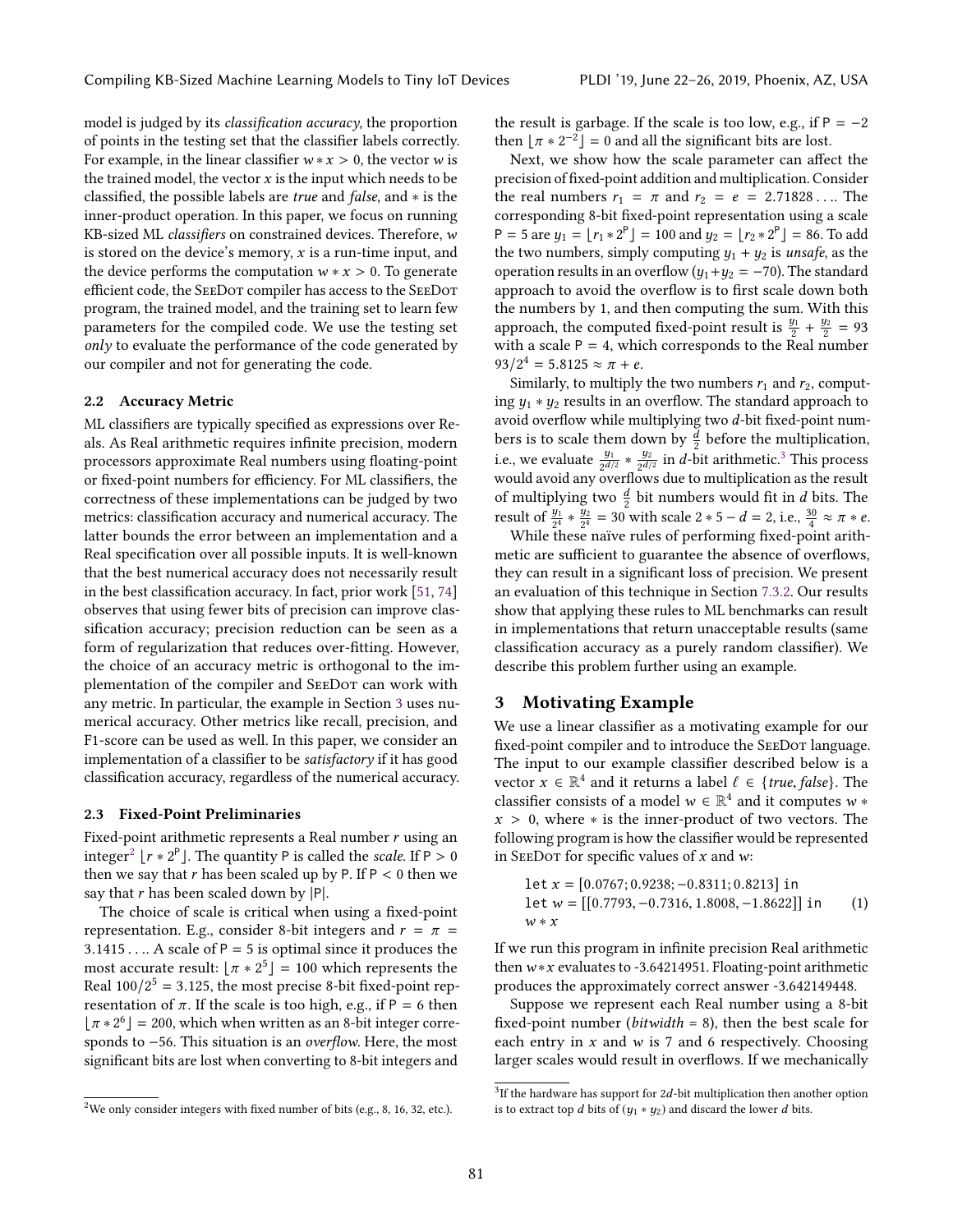model is judged by its classification accuracy, the proportion of points in the testing set that the classifier labels correctly. For example, in the linear classifier  $w * x > 0$ , the vector w is the trained model, the vector  $x$  is the input which needs to be classified, the possible labels are true and false, and ∗ is the inner-product operation. In this paper, we focus on running KB-sized ML classifiers on constrained devices. Therefore, w is stored on the device's memory,  $x$  is a run-time input, and the device performs the computation  $w * x > 0$ . To generate efficient code, the SeeDot compiler has access to the SeeDot program, the trained model, and the training set to learn few parameters for the compiled code. We use the testing set only to evaluate the performance of the code generated by our compiler and not for generating the code.

#### 2.2 Accuracy Metric

ML classifiers are typically specified as expressions over Reals. As Real arithmetic requires infinite precision, modern processors approximate Real numbers using floating-point or fixed-point numbers for efficiency. For ML classifiers, the correctness of these implementations can be judged by two metrics: classification accuracy and numerical accuracy. The latter bounds the error between an implementation and a Real specification over all possible inputs. It is well-known that the best numerical accuracy does not necessarily result in the best classification accuracy. In fact, prior work [\[51,](#page-15-8) [74\]](#page-16-9) observes that using fewer bits of precision can improve classification accuracy; precision reduction can be seen as a form of regularization that reduces over-fitting. However, the choice of an accuracy metric is orthogonal to the implementation of the compiler and SEEDOT can work with any metric. In particular, the example in Section [3](#page-2-0) uses numerical accuracy. Other metrics like recall, precision, and F1-score can be used as well. In this paper, we consider an implementation of a classifier to be satisfactory if it has good classification accuracy, regardless of the numerical accuracy.

#### <span id="page-2-3"></span>2.3 Fixed-Point Preliminaries

Fixed-point arithmetic represents a Real number  $r$  using an integer<sup>[2](#page-2-1)</sup> [ $r * 2^P$ ]. The quantity P is called the *scale*. If  $P > 0$ <br>then we say that r has been scaled up by P If  $P \ge 0$  then we then we say that r has been scaled up by P. If  $P < 0$  then we say that  $r$  has been scaled down by  $|P|$ .

The choice of scale is critical when using a fixed-point representation. E.g., consider 8-bit integers and  $r = \pi$  = 3.1415 . . . . A scale of  $P = 5$  is optimal since it produces the most accurate result:  $[\pi * 2^5] = 100$  which represents the<br>Real 100/2<sup>5</sup> = 3.125, the most precise 8-bit fixed-point rep. Real  $100/2^5 = 3.125$ , the most precise 8-bit fixed-point rep-<br>resentation of  $\pi$ . If the scale is too high e.g. if P = 6 then resentation of  $\pi$ . If the scale is too high, e.g., if P = 6 then  $\lfloor \pi * 2^6 \rfloor = 200$ , which when written as an 8-bit integer corre-<br>sponds to -56. This situation is an overflow Here, the most sponds to −56. This situation is an overflow. Here, the most significant bits are lost when converting to 8-bit integers and

the result is garbage. If the scale is too low, e.g., if  $P = -2$ then  $\lfloor \pi * 2^{-2} \rfloor = 0$  and all the significant bits are lost.<br>Next, we show how the scale parameter can affect

Next, we show how the scale parameter can affect the precision of fixed-point addition and multiplication. Consider the real numbers  $r_1 = \pi$  and  $r_2 = e = 2.71828...$  The corresponding 8-bit fixed-point representation using a scale P = 5 are  $y_1 = [r_1 * 2^P] = 100$  and  $y_2 = [r_2 * 2^P] = 86$ . To add<br>the two numbers simply computing  $y_1 + y_2$  is unsafe as the the two numbers, simply computing  $y_1 + y_2$  is unsafe, as the operation results in an overflow  $(y_1+y_2 = -70)$ . The standard approach to avoid the overflow is to first scale down both the numbers by 1, and then computing the sum. With this approach, the computed fixed-point result is  $\frac{y_1}{2} + \frac{y_2}{2} = 93$ with a scale  $P = 4$ , which corresponds to the Real number  $93/2^4 = 5.8125 \approx \pi + e$ .<br>Similarly to multiply

Similarly, to multiply the two numbers  $r_1$  and  $r_2$ , computing  $y_1 * y_2$  results in an overflow. The standard approach to avoid overflow while multiplying two d-bit fixed-point numbers is to scale them down by  $\frac{d}{2}$  before the multiplication, i.e., we evaluate  $\frac{y_1}{2^{d/2}} * \frac{y_2}{2^{d/2}}$  in d-bit arithmetic.<sup>[3](#page-2-2)</sup> This process would avoid any overflows due to multiplication as the result of multiplying two  $\frac{d}{2}$  bit numbers would fit in d bits. The<br>result of  $y_1$   $\ldots$   $y_2$  – 30 with seels  $2 \times 5$  ,  $d = 2$  i.e.  $30 \approx \pi \times a$ result of  $\frac{y_1}{2^4} * \frac{y_2}{2^4} = 30$  with scale  $2 * 5 - d = 2$ , i.e.,  $\frac{30}{4} \approx \pi * e$ .<br>While these naïve rules of performing fixed-point arith-

While these naïve rules of performing fixed-point arithmetic are sufficient to guarantee the absence of overflows, they can result in a significant loss of precision. We present an evaluation of this technique in Section [7.3.2.](#page-11-0) Our results show that applying these rules to ML benchmarks can result in implementations that return unacceptable results (same classification accuracy as a purely random classifier). We describe this problem further using an example.

# <span id="page-2-0"></span>3 Motivating Example

We use a linear classifier as a motivating example for our fixed-point compiler and to introduce the SEEDOT language. The input to our example classifier described below is a vector  $x \in \mathbb{R}^4$  and it returns a label  $\ell \in \{true, false\}$ . The classifier consists of a model  $w \in \mathbb{R}^4$  and it computes  $w *$ classifier consists of a model  $w \in \mathbb{R}^4$  and it computes  $w * x > 0$ , where  $\star$  is the inner-product of two vectors. The  $x > 0$ , where  $*$  is the inner-product of two vectors. The following program is how the classifier would be represented in SEEDOT for specific values of  $x$  and  $w$ :

<span id="page-2-4"></span>let 
$$
x = [0.0767; 0.9238; -0.8311; 0.8213]
$$
 in  
let  $w = [[0.7793, -0.7316, 1.8008, -1.8622]]$  in  
 $w * x$  (1)

If we run this program in infinite precision Real arithmetic thenw∗x evaluates to -3.64214951. Floating-point arithmetic produces the approximately correct answer -3.642149448.

Suppose we represent each Real number using a 8-bit fixed-point number (*bitwidth*  $= 8$ ), then the best scale for each entry in  $x$  and  $w$  is 7 and 6 respectively. Choosing larger scales would result in overflows. If we mechanically

<span id="page-2-1"></span><sup>&</sup>lt;sup>2</sup>We only consider integers with fixed number of bits (e.g., 8, 16, 32, etc.).

<span id="page-2-2"></span><sup>&</sup>lt;sup>3</sup>If the hardware has support for 2*d*-bit multiplication then another option is to extract top *d* bits of  $(u, x, u_0)$  and discord the lower *d* bits is to extract top d bits of  $(y_1 * y_2)$  and discard the lower d bits.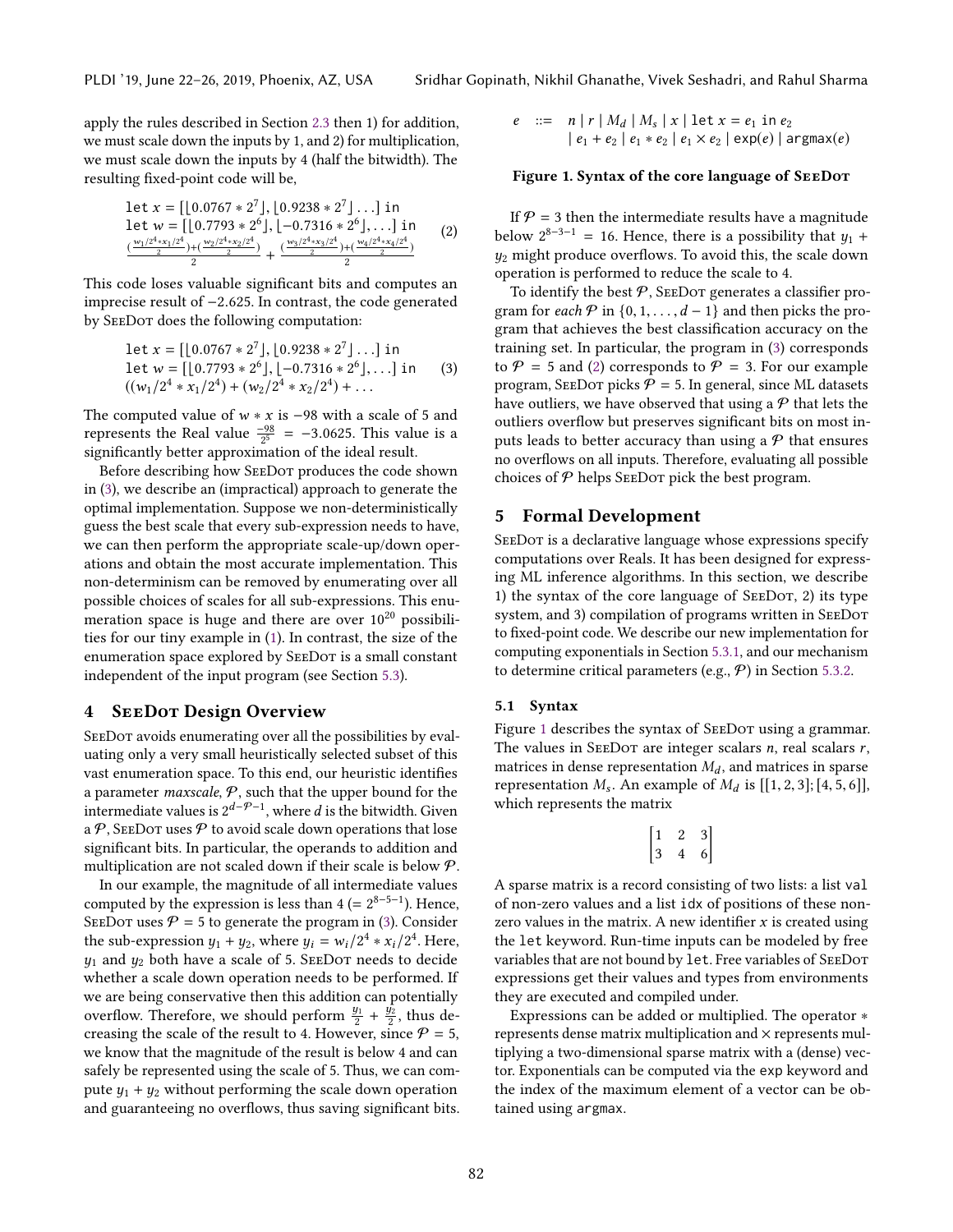apply the rules described in Section [2.3](#page-2-3) then 1) for addition, we must scale down the inputs by 1, and 2) for multiplication, we must scale down the inputs by 4 (half the bitwidth). The resulting fixed-point code will be,

<span id="page-3-2"></span>
$$
\begin{array}{l}\n\text{let } x = \left[ \left[ 0.0767 * 2^7 \right], \left[ 0.9238 * 2^7 \right], \ldots \right] \text{ in} \\
\text{let } w = \left[ \left[ 0.7793 * 2^6 \right], \left[ -0.7316 * 2^6 \right], \ldots \right] \text{ in} \\
\frac{\left( \frac{w_1/2^4 * x_1/2^4}{2} \right) + \left( \frac{w_2/2^4 * x_2/2^4}{2} \right)}{2} + \frac{\left( \frac{w_3/2^4 * x_3/2^4}{2} \right) + \left( \frac{w_4/2^4 * x_4/2^4}{2} \right)}{2}\n\end{array}\n\tag{2}
$$

This code loses valuable significant bits and computes an imprecise result of <sup>−</sup>2.625. In contrast, the code generated by SeeDot does the following computation:

<span id="page-3-1"></span>let 
$$
x = [[0.0767 * 2^7], [0.9238 * 2^7], ...]
$$
 in  
let  $w = [[0.7793 * 2^6], [-0.7316 * 2^6], ...]$  in  
 $((w_1/2^4 * x_1/2^4) + (w_2/2^4 * x_2/2^4) + ...$  (3)

The computed value of  $w * x$  is −98 with a scale of 5 and represents the Real value  $\frac{-98}{2^5}$  = -3.0625. This value is a significantly better approximation of the ideal result significantly better approximation of the ideal result.

Before describing how SeeDot produces the code shown in [\(3\)](#page-3-1), we describe an (impractical) approach to generate the optimal implementation. Suppose we non-deterministically guess the best scale that every sub-expression needs to have, we can then perform the appropriate scale-up/down operations and obtain the most accurate implementation. This non-determinism can be removed by enumerating over all possible choices of scales for all sub-expressions. This enumeration space is huge and there are over  $10^{20}$  possibilities for our tiny example in [\(1\)](#page-2-4). In contrast, the size of the enumeration space explored by SEEDOT is a small constant independent of the input program (see Section [5.3\)](#page-4-0).

# <span id="page-3-5"></span>4 SeeDot Design Overview

SEEDOT avoids enumerating over all the possibilities by evaluating only a very small heuristically selected subset of this vast enumeration space. To this end, our heuristic identifies a parameter *maxscale*,  $P$ , such that the upper bound for the intermediate values is  $2^{d-\mathcal{P}-1}$ , where d is the bitwidth. Given<br>a  $\mathcal{P}$  SEEDOT uses  $\mathcal{P}$  to avoid scale down operations that lose a  $P$ , SEEDOT uses P to avoid scale down operations that lose significant bits. In particular, the operands to addition and multiplication are not scaled down if their scale is below P.

In our example, the magnitude of all intermediate values computed by the expression is less than  $4 (= 2^{8-5-1})$ . Hence, SEEDOT uses  $P = 5$  to generate the program in [\(3\)](#page-3-1). Consider the sub-expression  $y_1 + y_2$ , where  $y_i = w_i/2^4 * x_i/2^4$ . Here,<br>the and the both have a scale of 5. SEEDOT needs to decide  $y_1$  and  $y_2$  both have a scale of 5. SEEDOT needs to decide whether a scale down operation needs to be performed. If we are being conservative then this addition can potentially overflow. Therefore, we should perform  $\frac{y_1}{2} + \frac{y_2}{2}$ , thus decreasing the scale of the result to 4. However, since  $P = 5$ , we know that the magnitude of the result is below 4 and can safely be represented using the scale of 5. Thus, we can compute  $y_1 + y_2$  without performing the scale down operation and guaranteeing no overflows, thus saving significant bits.

<span id="page-3-3"></span>
$$
e ::= n | r | M_d | M_s | x | \text{let } x = e_1 \text{ in } e_2
$$
  
 
$$
| e_1 + e_2 | e_1 * e_2 | e_1 \times e_2 | \exp(e) | \text{argmax}(e)
$$

#### Figure 1. Syntax of the core language of SeeDot

If  $P = 3$  then the intermediate results have a magnitude below  $2^{8-3-1} = 16$ . Hence, there is a possibility that  $y_1 + y_2$  might produce overflows. To avoid this, the scale down  $y_2$  might produce overflows. To avoid this, the scale down operation is performed to reduce the scale to 4.

To identify the best  $P$ , SEEDOT generates a classifier program for each  $\mathcal P$  in {0, 1, . . . ,  $d-1$ } and then picks the program that achieves the best classification accuracy on the training set. In particular, the program in [\(3\)](#page-3-1) corresponds to  $P = 5$  and [\(2\)](#page-3-2) corresponds to  $P = 3$ . For our example program, SEEDOT picks  $P = 5$ . In general, since ML datasets have outliers, we have observed that using a  $P$  that lets the outliers overflow but preserves significant bits on most inputs leads to better accuracy than using a  $P$  that ensures no overflows on all inputs. Therefore, evaluating all possible choices of  $P$  helps SEEDOT pick the best program.

#### <span id="page-3-0"></span>5 Formal Development

SEEDOT is a declarative language whose expressions specify computations over Reals. It has been designed for expressing ML inference algorithms. In this section, we describe 1) the syntax of the core language of SeeDot, 2) its type system, and 3) compilation of programs written in SeeDot to fixed-point code. We describe our new implementation for computing exponentials in Section [5.3.1,](#page-5-0) and our mechanism to determine critical parameters (e.g.,  $P$ ) in Section [5.3.2.](#page-6-0)

#### <span id="page-3-4"></span>5.1 Syntax

Figure [1](#page-3-3) describes the syntax of SEEDOT using a grammar. The values in SEEDOT are integer scalars  $n$ , real scalars  $r$ , matrices in dense representation  $M_d$ , and matrices in sparse representation  $M_s$ . An example of  $M_d$  is [[1, 2, 3]; [4, 5, 6]],<br>which represents the matrix which represents the matrix

$$
\begin{bmatrix} 1 & 2 & 3 \\ 3 & 4 & 6 \end{bmatrix}
$$

A sparse matrix is a record consisting of two lists: a list val of non-zero values and a list idx of positions of these nonzero values in the matrix. A new identifier  $x$  is created using the let keyword. Run-time inputs can be modeled by free variables that are not bound by let. Free variables of SeeDot expressions get their values and types from environments they are executed and compiled under.

Expressions can be added or multiplied. The operator ∗ represents dense matrix multiplication and  $\times$  represents multiplying a two-dimensional sparse matrix with a (dense) vector. Exponentials can be computed via the exp keyword and the index of the maximum element of a vector can be obtained using argmax.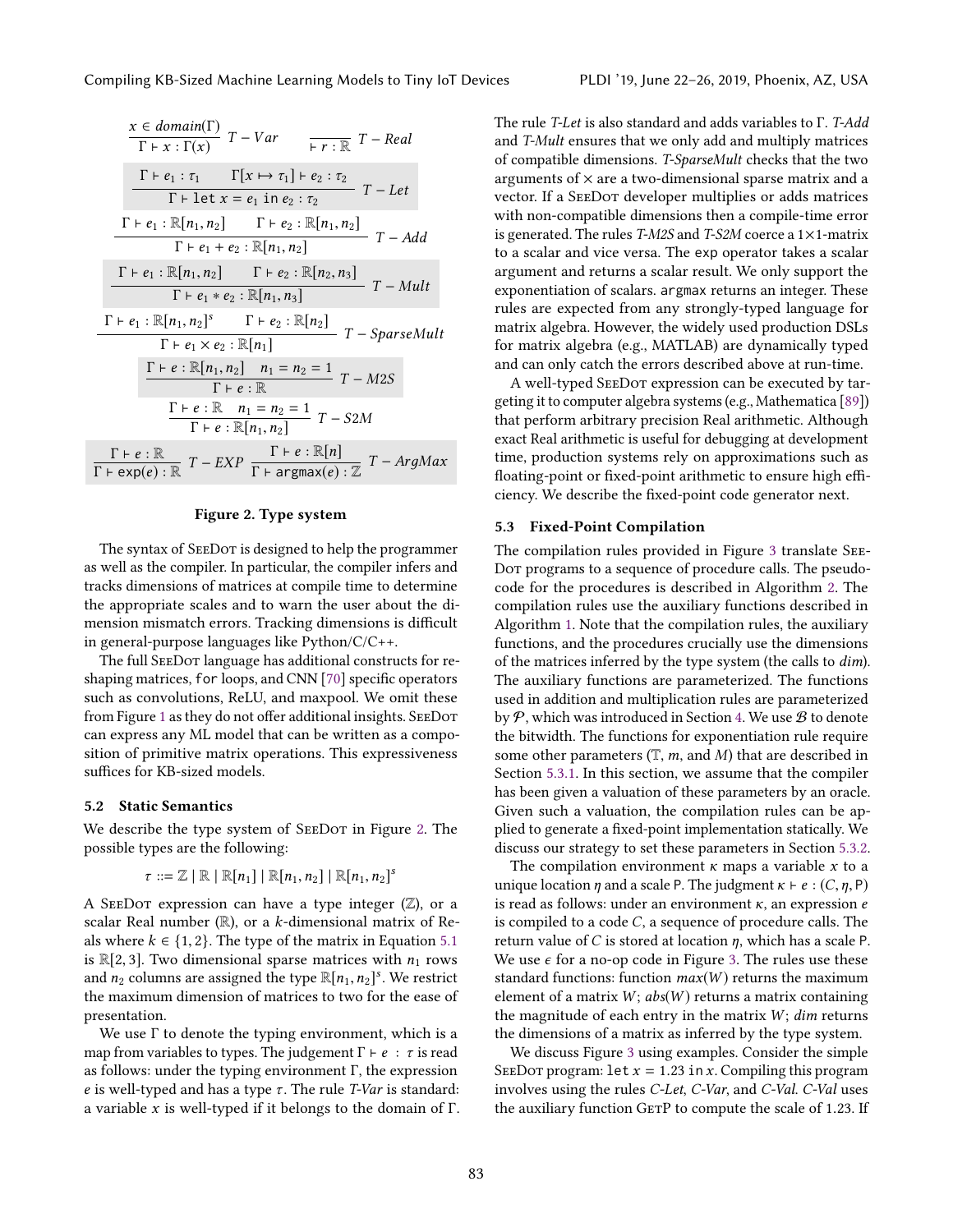<span id="page-4-1"></span>
$$
\frac{x \in domain(\Gamma)}{\Gamma + x : \Gamma(x)} T - Var \qquad \frac{\Gamma}{r : \mathbb{R}} T - Real
$$
\n
$$
\frac{\Gamma + e_1 : \tau_1 \qquad \Gamma[x \mapsto \tau_1] + e_2 : \tau_2}{\Gamma + \text{let } x = e_1 \text{ in } e_2 : \tau_2} T - Let
$$
\n
$$
\frac{\Gamma + e_1 : \mathbb{R}[n_1, n_2] \qquad \Gamma + e_2 : \mathbb{R}[n_1, n_2]}{\Gamma + e_1 + e_2 : \mathbb{R}[n_1, n_2]} T - Add
$$
\n
$$
\frac{\Gamma + e_1 : \mathbb{R}[n_1, n_2] \qquad \Gamma + e_2 : \mathbb{R}[n_2, n_3]}{\Gamma + e_1 * e_2 : \mathbb{R}[n_1, n_3]} T - Mult
$$
\n
$$
\frac{\Gamma + e_1 : \mathbb{R}[n_1, n_2]^s \qquad \Gamma + e_2 : \mathbb{R}[n_2]}{\Gamma + e_1 \times e_2 : \mathbb{R}[n_1]} T - SparseMult
$$
\n
$$
\frac{\Gamma + e : \mathbb{R}[n_1, n_2] \qquad n_1 = n_2 = 1}{\Gamma + e : \mathbb{R}} T - M2S
$$
\n
$$
\frac{\Gamma + e : \mathbb{R} \qquad n_1 = n_2 = 1}{\Gamma + e : \mathbb{R}[n_1, n_2]} T - S2M
$$
\n
$$
\frac{\Gamma + e : \mathbb{R} \qquad n_1 = n_2 = 1}{\Gamma + e : \mathbb{R}[n_1, n_2]} T - ArgMax
$$

# Figure 2. Type system

The syntax of SEEDOT is designed to help the programmer as well as the compiler. In particular, the compiler infers and tracks dimensions of matrices at compile time to determine the appropriate scales and to warn the user about the dimension mismatch errors. Tracking dimensions is difficult in general-purpose languages like Python/C/C++.

The full SeeDot language has additional constructs for reshaping matrices, for loops, and CNN [\[70\]](#page-16-10) specific operators such as convolutions, ReLU, and maxpool. We omit these from Figure [1](#page-3-3) as they do not offer additional insights. SEEDOT can express any ML model that can be written as a composition of primitive matrix operations. This expressiveness suffices for KB-sized models.

## 5.2 Static Semantics

We describe the type system of SEEDOT in Figure [2.](#page-4-1) The possible types are the following:

$$
\tau ::= \mathbb{Z} \mid \mathbb{R} \mid \mathbb{R}[n_1] \mid \mathbb{R}[n_1, n_2] \mid \mathbb{R}[n_1, n_2]^s
$$

A SEEDOT expression can have a type integer  $(\mathbb{Z})$ , or a scalar Real number ( $\mathbb{R}$ ), or a *k*-dimensional matrix of Reals where  $k \in \{1, 2\}$ . The type of the matrix in Equation [5.1](#page-3-4) is  $\mathbb{R}[2, 3]$ . Two dimensional sparse matrices with  $n_1$  rows and  $n_2$  columns are assigned the type  $\mathbb{R}[n_1, n_2]^s$ . We restrict the maximum dimension of matrices to two for the ease of the maximum dimension of matrices to two for the ease of presentation.

We use  $\Gamma$  to denote the typing environment, which is a map from variables to types. The judgement  $\Gamma \vdash e : \tau$  is read as follows: under the typing environment  $\Gamma$ , the expression e is well-typed and has a type  $\tau$ . The rule T-Var is standard: a variable x is well-typed if it belongs to the domain of Γ.

The rule T-Let is also standard and adds variables to Γ. T-Add and T-Mult ensures that we only add and multiply matrices of compatible dimensions. T-SparseMult checks that the two arguments of  $\times$  are a two-dimensional sparse matrix and a vector. If a SeeDot developer multiplies or adds matrices with non-compatible dimensions then a compile-time error is generated. The rules T-M2S and T-S2M coerce a  $1\times1$ -matrix to a scalar and vice versa. The exp operator takes a scalar argument and returns a scalar result. We only support the exponentiation of scalars. argmax returns an integer. These rules are expected from any strongly-typed language for matrix algebra. However, the widely used production DSLs for matrix algebra (e.g., MATLAB) are dynamically typed and can only catch the errors described above at run-time.

A well-typed SeeDot expression can be executed by targeting it to computer algebra systems (e.g., Mathematica [\[89\]](#page-16-11)) that perform arbitrary precision Real arithmetic. Although exact Real arithmetic is useful for debugging at development time, production systems rely on approximations such as floating-point or fixed-point arithmetic to ensure high efficiency. We describe the fixed-point code generator next.

#### <span id="page-4-0"></span>5.3 Fixed-Point Compilation

The compilation rules provided in Figure [3](#page-5-1) translate See-Dot programs to a sequence of procedure calls. The pseudocode for the procedures is described in Algorithm [2.](#page-6-1) The compilation rules use the auxiliary functions described in Algorithm [1.](#page-6-2) Note that the compilation rules, the auxiliary functions, and the procedures crucially use the dimensions of the matrices inferred by the type system (the calls to dim). The auxiliary functions are parameterized. The functions used in addition and multiplication rules are parameterized by  $P$ , which was introduced in Section [4.](#page-3-5) We use  $B$  to denote the bitwidth. The functions for exponentiation rule require some other parameters  $(T, m, and M)$  that are described in Section [5.3.1.](#page-5-0) In this section, we assume that the compiler has been given a valuation of these parameters by an oracle. Given such a valuation, the compilation rules can be applied to generate a fixed-point implementation statically. We discuss our strategy to set these parameters in Section [5.3.2.](#page-6-0)

The compilation environment  $\kappa$  maps a variable  $\kappa$  to a unique location  $\eta$  and a scale P. The judgment  $\kappa \vdash e : (C, \eta, P)$ is read as follows: under an environment  $\kappa$ , an expression  $e$ is compiled to a code C, a sequence of procedure calls. The return value of C is stored at location  $\eta$ , which has a scale P. We use  $\epsilon$  for a no-op code in Figure [3.](#page-5-1) The rules use these standard functions: function  $max(W)$  returns the maximum element of a matrix  $W$ ;  $abs(W)$  returns a matrix containing the magnitude of each entry in the matrix  $W$ ;  $dim$  returns the dimensions of a matrix as inferred by the type system.

We discuss Figure [3](#page-5-1) using examples. Consider the simple SEEDOT program: let  $x = 1.23$  in x. Compiling this program involves using the rules C-Let, C-Var, and C-Val. C-Val uses the auxiliary function GETP to compute the scale of 1.23. If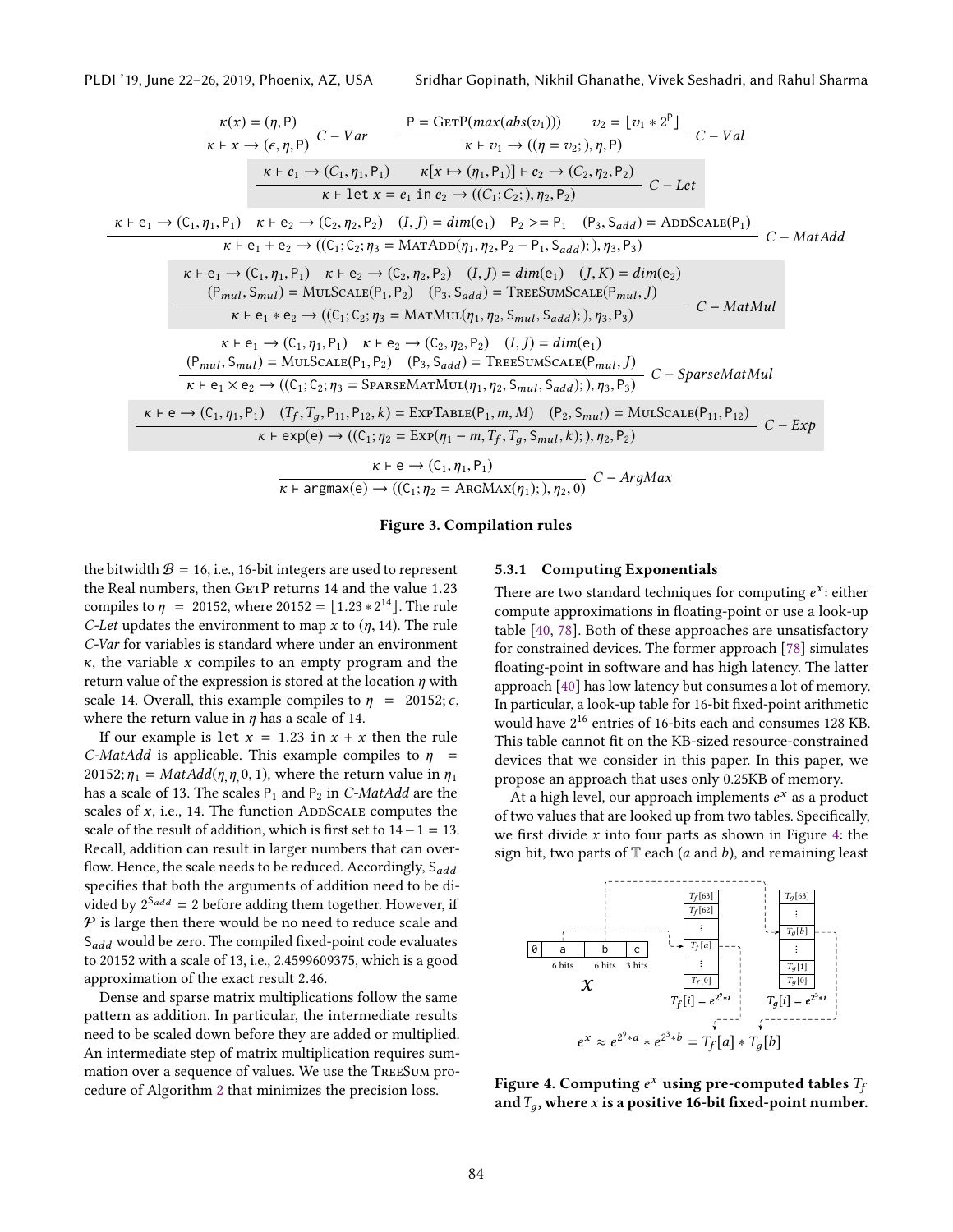<span id="page-5-1"></span>

PLDI '19, June 22–26, 2019, Phoenix, AZ, USA Sridhar Gopinath, Nikhil Ghanathe, Vivek Seshadri, and Rahul Sharma

$$
\frac{\kappa(x) = (\eta, P)}{\kappa + x \to (\epsilon, \eta, P)} C - Var \qquad \frac{P = GETP(max(abs(v_1))) \qquad v_2 = [v_1 * 2^P]}{\kappa + v_1 \to ((\eta = v_2;), \eta, P)} C - Val
$$
\n
$$
\frac{\kappa + e_1 \to (C_1, \eta_1, P_1) \qquad \kappa[x \to (\eta_1, P_1)] + e_2 \to (C_2, \eta_2, P_2)}{\kappa + \text{let } x = e_1 \text{ in } e_2 \to ((C_1; C_2;), \eta_2, P_2)} C - Let
$$
\n
$$
\kappa + e_1 \to (C_1, \eta_1, P_1) \qquad \kappa + e_2 \to (C_2, \eta_2, P_2) \qquad (I, J) = dim(e_1) \qquad P_2 >= P_1 \qquad (P_3, S_{add}) = ADDSCALE(P_1)
$$
\n
$$
\kappa + e_1 \to e_2 \to ((C_1; C_2; \eta_3 = \text{MATADD}(\eta_1, \eta_2, P_2 - P_1, S_{add});), \eta_3, P_3) \qquad C - MatAdd
$$
\n
$$
\frac{\kappa + e_1 \to (C_1, \eta_1, P_1) \qquad \kappa + e_2 \to (C_2, \eta_2, P_2) \qquad (I, J) = dim(e_1) \qquad (J, K) = dim(e_2)}{P_{mul}, S_{mul}} C - MatMul
$$
\n
$$
\frac{(P_{mul}, S_{mul}) = MULSCALE(P_1, P_2) \qquad (P_3, S_{add}) = TREESUMSCALE(P_{mul}, J)}{\kappa + e_1 \to (C_1, \eta_1, P_1) \qquad \kappa + e_2 \to (C_2, \eta_2, P_2) \qquad (I, J) = dim(e_1)}{\kappa + e_1 \times e_2 \to ((C_1; C_2; \eta_3 = \text{MAREMMUL}(\eta_1, \eta_2, S_{mul}, S_{add});), \eta_3, P_3)} C - SantMul
$$
\n
$$
\frac{(P_{mul}, S_{mul}) = MULSCALE(P_1, P_2) \qquad (P_3, S_{add}) = TREE(SUMSCALE(P_{mul}, J)}{\kappa + e_1 \times e_2 \to ((C_
$$

#### Figure 3. Compilation rules

the bitwidth  $B = 16$ , i.e., 16-bit integers are used to represent the Real numbers, then GETP returns 14 and the value 1.23 compiles to  $\eta = 20152$ , where  $20152 = \lfloor 1.23 * 2^{14} \rfloor$ . The rule C-Let undates the environment to man x to  $(n, 14)$ . The rule *C-Let* updates the environment to map x to  $(\eta, 14)$ . The rule C-Var for variables is standard where under an environment  $\kappa$ , the variable x compiles to an empty program and the return value of the expression is stored at the location  $\eta$  with scale 14. Overall, this example compiles to  $\eta = 20152; \epsilon$ , where the return value in  $\eta$  has a scale of 14.

If our example is let  $x = 1.23$  in  $x + x$  then the rule C-MatAdd is applicable. This example compiles to  $\eta$  = 20152;  $\eta_1 = MatAdd(\eta, \eta, 0, 1)$ , where the return value in  $\eta_1$ has a scale of 13. The scales  $P_1$  and  $P_2$  in *C-MatAdd* are the scales of  $x$ , i.e., 14. The function ADDSCALE computes the scale of the result of addition, which is first set to  $14-1=13$ . Recall, addition can result in larger numbers that can overflow. Hence, the scale needs to be reduced. Accordingly,  $S_{add}$ specifies that both the arguments of addition need to be divided by  $2^{S_{add}} = 2$  before adding them together. However, if  $P$  is large then there would be no need to reduce scale and  $S_{add}$  would be zero. The compiled fixed-point code evaluates to 20152 with a scale of 13, i.e., 2.4599609375, which is a good approximation of the exact result <sup>2</sup>.46.

Dense and sparse matrix multiplications follow the same pattern as addition. In particular, the intermediate results need to be scaled down before they are added or multiplied. An intermediate step of matrix multiplication requires summation over a sequence of values. We use the TreeSum procedure of Algorithm [2](#page-6-1) that minimizes the precision loss.

#### <span id="page-5-0"></span>5.3.1 Computing Exponentials

There are two standard techniques for computing  $e^x$ : either<br>compute approximations in floating-point or use a look-up compute approximations in floating-point or use a look-up table [\[40,](#page-15-9) [78\]](#page-16-12). Both of these approaches are unsatisfactory for constrained devices. The former approach [\[78\]](#page-16-12) simulates floating-point in software and has high latency. The latter approach [\[40\]](#page-15-9) has low latency but consumes a lot of memory. In particular, a look-up table for 16-bit fixed-point arithmetic would have 2 <sup>16</sup> entries of 16-bits each and consumes 128 KB. This table cannot fit on the KB-sized resource-constrained devices that we consider in this paper. In this paper, we propose an approach that uses only 0.25KB of memory.

At a high level, our approach implements  $e^x$  as a product<br>two values that are looked up from two tables. Specifically of two values that are looked up from two tables. Specifically, we first divide  $x$  into four parts as shown in Figure [4:](#page-5-2) the sign bit, two parts of  $\mathbb T$  each (*a* and *b*), and remaining least

<span id="page-5-2"></span>

Figure 4. Computing  $e^x$  using pre-computed tables  $T_f$ <br>and  $T$  , where x is a positive 16-bit fixed-point number and  $T_q$ , where x is a positive 16-bit fixed-point number.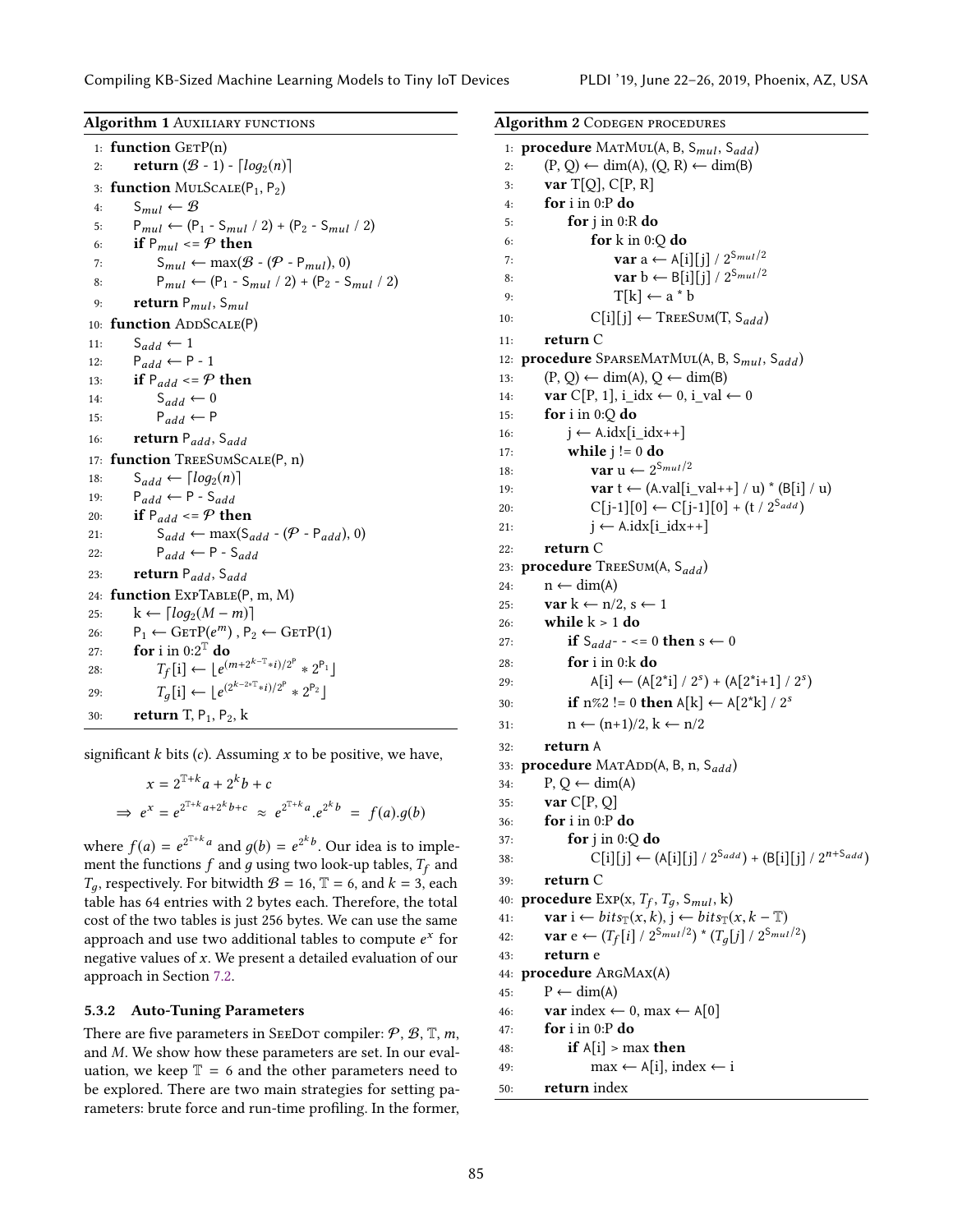Compiling KB-Sized Machine Learning Models to Tiny IoT Devices PLDI '19, June 22–26, 2019, Phoenix, AZ, USA

<span id="page-6-2"></span>Algorithm 1 AUXILIARY FUNCTIONS  $1:$  function  $GETP(n)$ 2: **return**  $(B - 1) - \lceil log_2(n) \rceil$ <br>3: **function** MULSCALE $(P_1, P_2)$ function  $MULSCALE(P_1, P_2)$ 4:  $S_{mul} \leftarrow \mathcal{B}$ <br>5:  $P_{mul} \leftarrow (P)$ 5:  $P_{mul}$  ←  $(P_1 - S_{mul} / 2) + (P_2 - S_{mul} / 2)$ <br>6: **if**  $P_{mul}$  < =  $P$  then 6: **if**  $P_{mul} \leq P$  then<br>7:  $S_{mul} \leftarrow \max(\mathcal{B})$ 7:  $S_{mul} \leftarrow \max(\mathcal{B} - (\mathcal{P} - P_{mul}), 0)$ <br>8:  $P_{mul} \leftarrow (P_1 - S_{mul} / 2) + (P_2 - S)$ 8:  $P_{mul} \leftarrow (P_1 - S_{mul} / 2) + (P_2 - S_{mul} / 2)$ <br>9: **return**  $P_{mul}$ ,  $S_{mul}$ 9: **return**  $P_{mul}$ ,  $S_{mul}$ <br>10: **function** ADDSCALE(**Fig.**) function ADDSCALE(P) 11:  $S_{add} \leftarrow 1$ <br>12:  $P_{add} \leftarrow P$ 12:  $P_{add} \leftarrow P - 1$ <br>13: **if**  $P_{add} \leftarrow P$ 13: **if**  $P_{add} \leq P$  then<br>14:  $S_{add} \leftarrow 0$ 14:  $S_{add} \leftarrow 0$ <br>15:  $P_{add} \leftarrow P$ 15:  $P_{add} \leftarrow P$ <br>16: **return**  $P_{add}$ . 16: return P<sub>add</sub>, S<sub>add</sub><br>17: **function** TreeSUMSC function TREESUMSCALE(P, n) 18:  $S_{add} \leftarrow \lceil log_2(n) \rceil$ <br>19:  $P_{add} \leftarrow P - S_{add}$ 19:  $P_{add} \leftarrow P - S_{add}$ <br>20: **if**  $P_{add} \leftarrow P$  **the** 20: **if**  $P_{add} \leq P$  then<br>21:  $S_{add} \leftarrow max(S_{equ})$ 21:  $S_{add} \leftarrow \max(S_{add} - (P - P_{add}), 0)$ <br>22:  $P_{add} \leftarrow P - S_{add}$ 22:  $P_{add} \leftarrow P - S_{add}$ <br>23: **return**  $P_{add}$ ,  $S_{add}$ 23: return  $P_{add}$ ,  $S_{add}$ <br>24: function  $EXPTABLE(F)$ function  $ExpTable(P, m, M)$ 25:  $k \leftarrow \lceil log_2(M - m) \rceil$ <br>26:  $P_1 \leftarrow GETP(e^m), P_2$ 26:  $P_1 \leftarrow \text{GETP}(e^m)$ ,  $P_2 \leftarrow \text{GETP}(1)$ <br>27. **for** i in 0.2<sup>T</sup> do 27: for i in  $0:2^{\mathbb{T}}$  do 28:  $T_f[i] \leftarrow [e^{(m+2^{k-T}*i)/2^P} * 2^{P_1}]$ 29:  $T_g[i] \leftarrow [e^{(2^{k-2*\mathbb{T}_{*}}i)/2^{P}} * 2^{P_2}]$ 30: **return** T,  $P_1$ ,  $P_2$ , k

significant  $k$  bits  $(c)$ . Assuming  $x$  to be positive, we have,

$$
x = 2^{T+k}a + 2^{k}b + c
$$
  
\n
$$
\Rightarrow e^{x} = e^{2^{T+k}a + 2^{k}b + c} \approx e^{2^{T+k}a} \cdot e^{2^{k}b} = f(a) \cdot g(b)
$$

where  $f(a) = e^{2^{T+k}a}$  and  $g(b) = e^{2^kb}$ . Our idea is to implement the functions f and quaing two look-up tables. To and ment the functions  $f$  and  $g$  using two look-up tables,  $T_f$  and  $T_q$ , respectively. For bitwidth  $\mathcal{B} = 16$ ,  $\mathbb{T} = 6$ , and  $k = 3$ , each table has 64 entries with 2 bytes each. Therefore, the total cost of the two tables is just 256 bytes. We can use the same approach and use two additional tables to compute  $e^x$  for<br>negative values of x. We present a detailed evaluation of our negative values of  $x$ . We present a detailed evaluation of our approach in Section [7.2.](#page-10-0)

# <span id="page-6-0"></span>5.3.2 Auto-Tuning Parameters

There are five parameters in SEEDOT compiler:  $P$ ,  $B$ ,  $T$ ,  $m$ , and M. We show how these parameters are set. In our evaluation, we keep  $\mathbb{T} = 6$  and the other parameters need to be explored. There are two main strategies for setting parameters: brute force and run-time profiling. In the former,

<span id="page-6-1"></span>

| <b>Algorithm 2 CODEGEN PROCEDURES</b>                                                                                 |  |  |  |  |
|-----------------------------------------------------------------------------------------------------------------------|--|--|--|--|
| 1: <b>procedure</b> MATMUL(A, B, $S_{mul}$ , $S_{add}$ )                                                              |  |  |  |  |
| $(P, Q) \leftarrow \dim(A), (Q, R) \leftarrow \dim(B)$<br>2:                                                          |  |  |  |  |
| var $T[Q]$ , $C[P, R]$<br>3:                                                                                          |  |  |  |  |
| for $i$ in 0:P do<br>4:                                                                                               |  |  |  |  |
| for $j$ in 0:R do<br>5:                                                                                               |  |  |  |  |
| for $k$ in 0:Q do<br>6:                                                                                               |  |  |  |  |
| <b>var</b> a $\leftarrow$ A[i][j] / $2^{S_{mul}/2}$<br>7:                                                             |  |  |  |  |
| var b $\leftarrow$ B[i][j] / $2^{S_{mul}/2}$<br>8:                                                                    |  |  |  |  |
| $T[k] \leftarrow a * b$<br>9:                                                                                         |  |  |  |  |
| $C[i][j] \leftarrow \text{TreeSum}(T, S_{add})$<br>10:                                                                |  |  |  |  |
| return C<br>11:                                                                                                       |  |  |  |  |
| 12: procedure SPARSEMATMUL(A, B, Smul, Sadd)                                                                          |  |  |  |  |
| $(P, Q) \leftarrow \dim(A), Q \leftarrow \dim(B)$<br>13:                                                              |  |  |  |  |
| <b>var</b> C[P, 1], i_idx ← 0, i_val ← 0<br>14:                                                                       |  |  |  |  |
| for i in $0:Q$ do<br>15:                                                                                              |  |  |  |  |
| $j \leftarrow$ A.idx $[i\_idx++]$<br>16:                                                                              |  |  |  |  |
| while $j := 0$ do<br>17:                                                                                              |  |  |  |  |
| <b>var</b> u $\leftarrow 2^{S_{mul}/2}$<br>18:                                                                        |  |  |  |  |
| var $t \leftarrow (A.val[i_val++] / u) * (B[i] / u)$<br>19:                                                           |  |  |  |  |
| $C[j-1][0] \leftarrow C[j-1][0] + (t / 2^{S_{add}})$<br>20:                                                           |  |  |  |  |
| $j \leftarrow A.idx[i_idx++]$<br>21:                                                                                  |  |  |  |  |
| return C<br>22:                                                                                                       |  |  |  |  |
| 23: procedure TREESUM(A, Sadd)                                                                                        |  |  |  |  |
| $n \leftarrow \text{dim}(A)$<br>24:                                                                                   |  |  |  |  |
| var $k \leftarrow n/2$ , s $\leftarrow$ 1<br>25:                                                                      |  |  |  |  |
| while $k > 1$ do<br>26:                                                                                               |  |  |  |  |
| if $S_{add}$ --<= 0 then s $\leftarrow$ 0<br>27:                                                                      |  |  |  |  |
| for $i$ in 0: $k$ do<br>28:                                                                                           |  |  |  |  |
| $A[i] \leftarrow (A[2^*i] / 2^s) + (A[2^*i+1] / 2^s)$<br>29:                                                          |  |  |  |  |
| if n%2 != 0 then $A[k] \leftarrow A[2*k] / 2^s$<br>30:                                                                |  |  |  |  |
| $n \leftarrow (n+1)/2, k \leftarrow n/2$<br>31:                                                                       |  |  |  |  |
| return A<br>32:                                                                                                       |  |  |  |  |
| 33: <b>procedure</b> MATADD(A, B, n, $S_{add}$ )                                                                      |  |  |  |  |
| $P, Q \leftarrow dim(A)$<br>34:                                                                                       |  |  |  |  |
| var C[P,Q]<br>35:                                                                                                     |  |  |  |  |
| for $i$ in 0:P do<br>36:                                                                                              |  |  |  |  |
| for $j$ in 0:Q do<br>37:                                                                                              |  |  |  |  |
| $C[i][j] \leftarrow (A[i][j] / 2^{S_{add}}) + (B[i][j] / 2^{n+S_{add}})$<br>38:                                       |  |  |  |  |
| return C<br>39:                                                                                                       |  |  |  |  |
| 40: <b>procedure</b> $Exp(x, T_f, T_g, S_{mul}, k)$                                                                   |  |  |  |  |
| <b>var</b> $i \leftarrow \text{bits}_{\mathbb{T}}(x,k), j \leftarrow \text{bits}_{\mathbb{T}}(x,k-\mathbb{T})$<br>41: |  |  |  |  |
| <b>var</b> e $\left(\frac{T_f[i]}{2^{S_{mul}}^2}\right)$ * $\left(\frac{T_q[j]}{2^{S_{mul}}^2}\right)$<br>42:         |  |  |  |  |
| return e<br>43:                                                                                                       |  |  |  |  |
| 44: procedure ARGMAX(A)                                                                                               |  |  |  |  |
| $P \leftarrow \dim(A)$<br>45:                                                                                         |  |  |  |  |
| <b>var</b> index $\leftarrow 0$ , max $\leftarrow A[0]$<br>46:                                                        |  |  |  |  |
| for $i$ in 0:P do<br>47:                                                                                              |  |  |  |  |
| if $A[i] > max$ then<br>48:                                                                                           |  |  |  |  |
| $\text{max} \leftarrow A[i], \text{index} \leftarrow i$<br>49:                                                        |  |  |  |  |
| return index<br>50:                                                                                                   |  |  |  |  |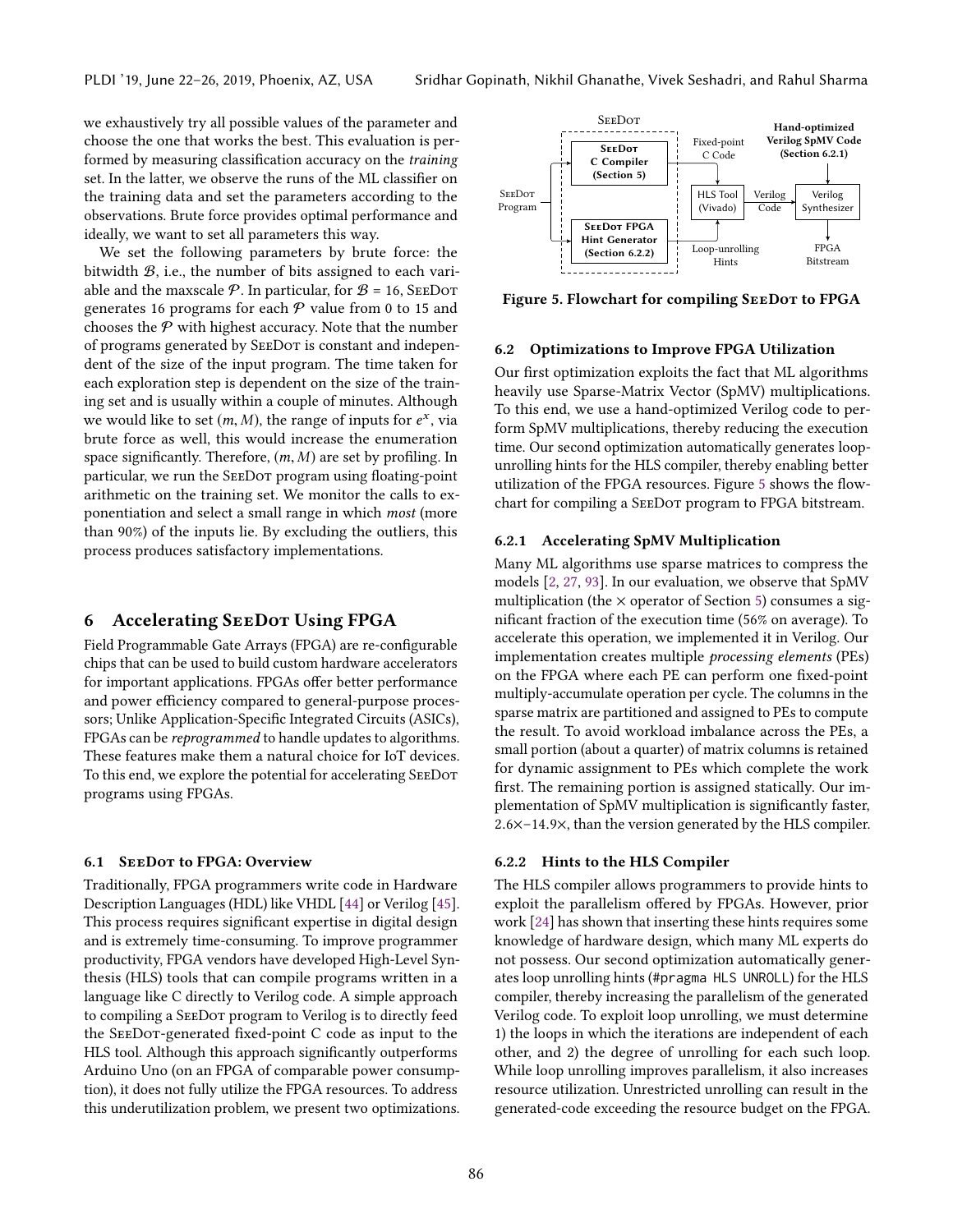we exhaustively try all possible values of the parameter and choose the one that works the best. This evaluation is performed by measuring classification accuracy on the training set. In the latter, we observe the runs of the ML classifier on the training data and set the parameters according to the observations. Brute force provides optimal performance and ideally, we want to set all parameters this way.

We set the following parameters by brute force: the bitwidth B, i.e., the number of bits assigned to each variable and the maxscale  $P$ . In particular, for  $B = 16$ , SEEDOT generates 16 programs for each  $P$  value from 0 to 15 and chooses the  $P$  with highest accuracy. Note that the number of programs generated by SeeDot is constant and independent of the size of the input program. The time taken for each exploration step is dependent on the size of the training set and is usually within a couple of minutes. Although we would like to set  $(m, M)$ , the range of inputs for  $e^x$ , via<br>brute force as well, this would increase the enumeration brute force as well, this would increase the enumeration space significantly. Therefore,  $(m, M)$  are set by profiling. In particular, we run the SeeDot program using floating-point arithmetic on the training set. We monitor the calls to exponentiation and select a small range in which most (more than 90%) of the inputs lie. By excluding the outliers, this process produces satisfactory implementations.

#### <span id="page-7-0"></span>6 Accelerating SeeDot Using FPGA

Field Programmable Gate Arrays (FPGA) are re-configurable chips that can be used to build custom hardware accelerators for important applications. FPGAs offer better performance and power efficiency compared to general-purpose processors; Unlike Application-Specific Integrated Circuits (ASICs), FPGAs can be reprogrammed to handle updates to algorithms. These features make them a natural choice for IoT devices. To this end, we explore the potential for accelerating SeeDot programs using FPGAs.

#### 6.1 SeeDot to FPGA: Overview

Traditionally, FPGA programmers write code in Hardware Description Languages (HDL) like VHDL [\[44\]](#page-15-10) or Verilog [\[45\]](#page-15-11). This process requires significant expertise in digital design and is extremely time-consuming. To improve programmer productivity, FPGA vendors have developed High-Level Synthesis (HLS) tools that can compile programs written in a language like C directly to Verilog code. A simple approach to compiling a SeeDot program to Verilog is to directly feed the SeeDot-generated fixed-point C code as input to the HLS tool. Although this approach significantly outperforms Arduino Uno (on an FPGA of comparable power consumption), it does not fully utilize the FPGA resources. To address this underutilization problem, we present two optimizations.

<span id="page-7-1"></span>

Figure 5. Flowchart for compiling SEEDOT to FPGA

#### 6.2 Optimizations to Improve FPGA Utilization

Our first optimization exploits the fact that ML algorithms heavily use Sparse-Matrix Vector (SpMV) multiplications. To this end, we use a hand-optimized Verilog code to perform SpMV multiplications, thereby reducing the execution time. Our second optimization automatically generates loopunrolling hints for the HLS compiler, thereby enabling better utilization of the FPGA resources. Figure [5](#page-7-1) shows the flowchart for compiling a SeeDot program to FPGA bitstream.

#### 6.2.1 Accelerating SpMV Multiplication

Many ML algorithms use sparse matrices to compress the models [\[2,](#page-14-8) [27,](#page-14-9) [93\]](#page-16-13). In our evaluation, we observe that SpMV multiplication (the  $\times$  operator of Section [5\)](#page-3-0) consumes a significant fraction of the execution time (56% on average). To accelerate this operation, we implemented it in Verilog. Our implementation creates multiple processing elements (PEs) on the FPGA where each PE can perform one fixed-point multiply-accumulate operation per cycle. The columns in the sparse matrix are partitioned and assigned to PEs to compute the result. To avoid workload imbalance across the PEs, a small portion (about a quarter) of matrix columns is retained for dynamic assignment to PEs which complete the work first. The remaining portion is assigned statically. Our implementation of SpMV multiplication is significantly faster, <sup>2</sup>.6×–14.9×, than the version generated by the HLS compiler.

## 6.2.2 Hints to the HLS Compiler

The HLS compiler allows programmers to provide hints to exploit the parallelism offered by FPGAs. However, prior work [\[24\]](#page-14-10) has shown that inserting these hints requires some knowledge of hardware design, which many ML experts do not possess. Our second optimization automatically generates loop unrolling hints (#pragma HLS UNROLL) for the HLS compiler, thereby increasing the parallelism of the generated Verilog code. To exploit loop unrolling, we must determine 1) the loops in which the iterations are independent of each other, and 2) the degree of unrolling for each such loop. While loop unrolling improves parallelism, it also increases resource utilization. Unrestricted unrolling can result in the generated-code exceeding the resource budget on the FPGA.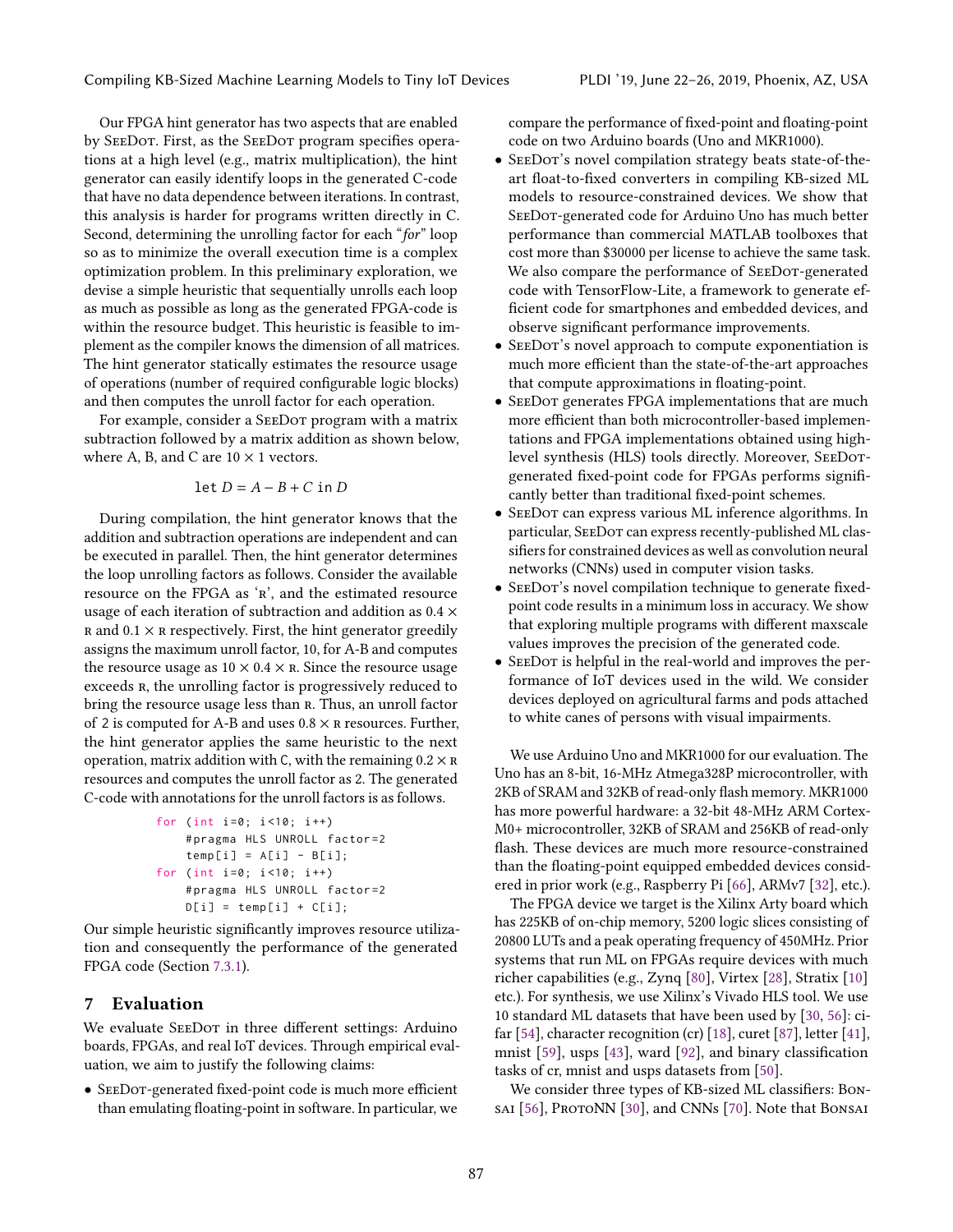Our FPGA hint generator has two aspects that are enabled by SeeDot. First, as the SeeDot program specifies operations at a high level (e.g., matrix multiplication), the hint generator can easily identify loops in the generated C-code that have no data dependence between iterations. In contrast, this analysis is harder for programs written directly in C. Second, determining the unrolling factor for each "for" loop so as to minimize the overall execution time is a complex optimization problem. In this preliminary exploration, we devise a simple heuristic that sequentially unrolls each loop as much as possible as long as the generated FPGA-code is within the resource budget. This heuristic is feasible to implement as the compiler knows the dimension of all matrices. The hint generator statically estimates the resource usage of operations (number of required configurable logic blocks) and then computes the unroll factor for each operation.

For example, consider a SeeDot program with a matrix subtraction followed by a matrix addition as shown below, where A, B, and C are  $10 \times 1$  vectors.

$$
\det D = A - B + C \text{ in } D
$$

During compilation, the hint generator knows that the addition and subtraction operations are independent and can be executed in parallel. Then, the hint generator determines the loop unrolling factors as follows. Consider the available resource on the FPGA as 'r', and the estimated resource usage of each iteration of subtraction and addition as 0.4 ×  $R$  and  $0.1 \times R$  respectively. First, the hint generator greedily assigns the maximum unroll factor, 10, for A-B and computes the resource usage as  $10 \times 0.4 \times R$ . Since the resource usage exceeds r, the unrolling factor is progressively reduced to bring the resource usage less than r. Thus, an unroll factor of 2 is computed for A-B and uses  $0.8 \times R$  resources. Further, the hint generator applies the same heuristic to the next operation, matrix addition with C, with the remaining  $0.2 \times R$ resources and computes the unroll factor as 2. The generated C-code with annotations for the unroll factors is as follows.

for ( int i =0; i <10; i ++) # pragma HLS UNROLL factor =2 temp [ i ] = A [ i ] - B [ i ]; for ( int i =0; i <10; i ++) # pragma HLS UNROLL factor =2 D [ i ] = temp [ i ] + C [ i ];

Our simple heuristic significantly improves resource utilization and consequently the performance of the generated FPGA code (Section [7.3.1\)](#page-11-1).

# 7 Evaluation

We evaluate SEEDOT in three different settings: Arduino boards, FPGAs, and real IoT devices. Through empirical evaluation, we aim to justify the following claims:

• SeeDot-generated fixed-point code is much more efficient than emulating floating-point in software. In particular, we compare the performance of fixed-point and floating-point code on two Arduino boards (Uno and MKR1000).

- SEEDOT's novel compilation strategy beats state-of-theart float-to-fixed converters in compiling KB-sized ML models to resource-constrained devices. We show that SeeDot-generated code for Arduino Uno has much better performance than commercial MATLAB toolboxes that cost more than \$30000 per license to achieve the same task. We also compare the performance of SEEDOT-generated code with TensorFlow-Lite, a framework to generate efficient code for smartphones and embedded devices, and observe significant performance improvements.
- SEEDOT's novel approach to compute exponentiation is much more efficient than the state-of-the-art approaches that compute approximations in floating-point.
- SeeDot generates FPGA implementations that are much more efficient than both microcontroller-based implementations and FPGA implementations obtained using highlevel synthesis (HLS) tools directly. Moreover, SeeDotgenerated fixed-point code for FPGAs performs significantly better than traditional fixed-point schemes.
- SeeDot can express various ML inference algorithms. In particular, SeeDot can express recently-published ML classifiers for constrained devices as well as convolution neural networks (CNNs) used in computer vision tasks.
- SEEDOT's novel compilation technique to generate fixedpoint code results in a minimum loss in accuracy. We show that exploring multiple programs with different maxscale values improves the precision of the generated code.
- SEEDOT is helpful in the real-world and improves the performance of IoT devices used in the wild. We consider devices deployed on agricultural farms and pods attached to white canes of persons with visual impairments.

We use Arduino Uno and MKR1000 for our evaluation. The Uno has an 8-bit, 16-MHz Atmega328P microcontroller, with 2KB of SRAM and 32KB of read-only flash memory. MKR1000 has more powerful hardware: a 32-bit 48-MHz ARM Cortex-M0+ microcontroller, 32KB of SRAM and 256KB of read-only flash. These devices are much more resource-constrained than the floating-point equipped embedded devices considered in prior work (e.g., Raspberry Pi [\[66\]](#page-16-14), ARMv7 [\[32\]](#page-15-12), etc.).

The FPGA device we target is the Xilinx Arty board which has 225KB of on-chip memory, 5200 logic slices consisting of 20800 LUTs and a peak operating frequency of 450MHz. Prior systems that run ML on FPGAs require devices with much richer capabilities (e.g., Zynq [\[80\]](#page-16-15), Virtex [\[28\]](#page-14-11), Stratix [\[10\]](#page-14-12) etc.). For synthesis, we use Xilinx's Vivado HLS tool. We use 10 standard ML datasets that have been used by [\[30,](#page-14-2) [56\]](#page-15-4): cifar [\[54\]](#page-15-7), character recognition (cr) [\[18\]](#page-14-13), curet [\[87\]](#page-16-16), letter [\[41\]](#page-15-13), mnist [\[59\]](#page-15-14), usps [\[43\]](#page-15-15), ward [\[92\]](#page-16-17), and binary classification tasks of cr, mnist and usps datasets from [\[50\]](#page-15-16).

We consider three types of KB-sized ML classifiers: Bon-sai [\[56\]](#page-15-4), ProtoNN [\[30\]](#page-14-2), and CNNs [\[70\]](#page-16-10). Note that Bonsai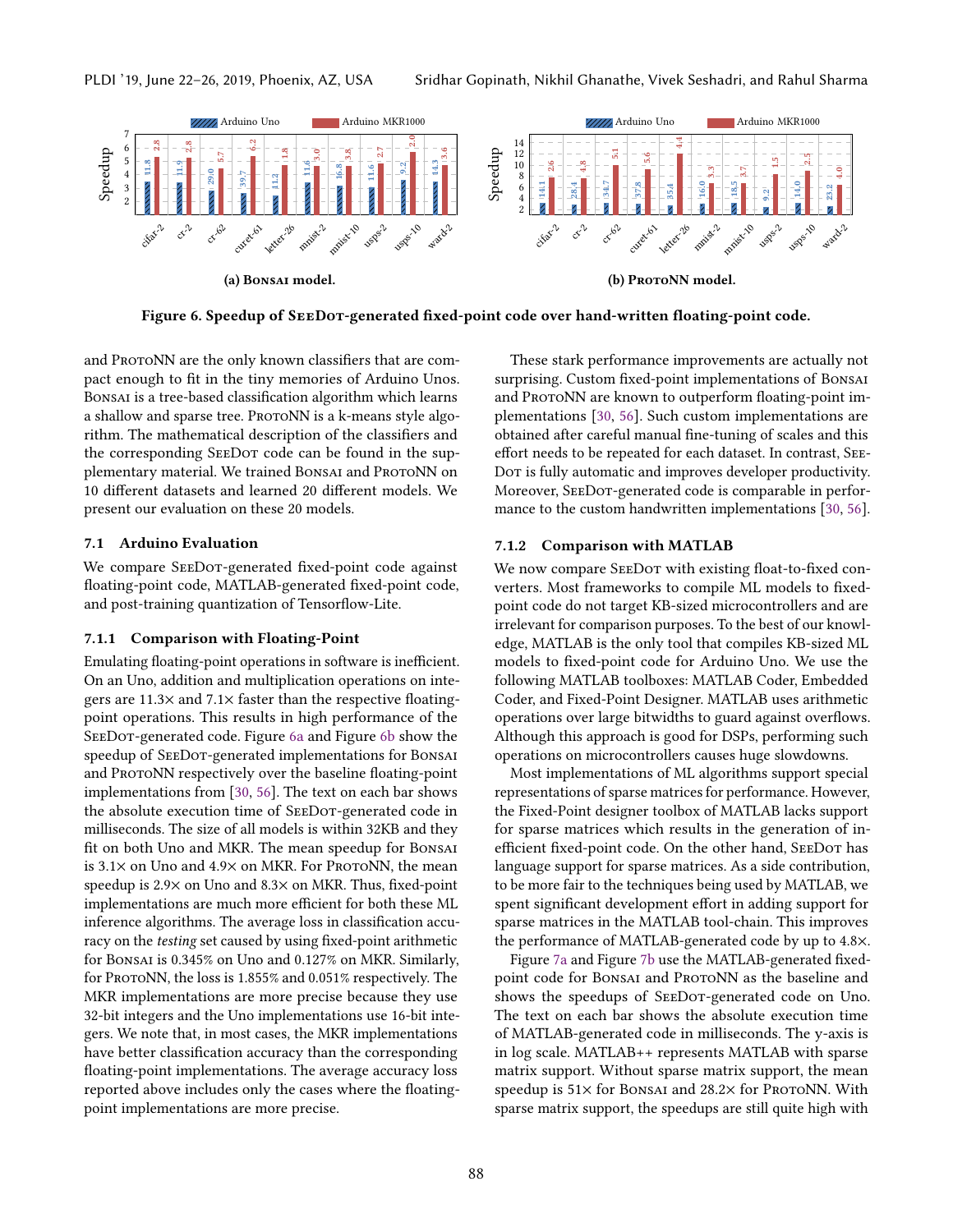<span id="page-9-0"></span>

Figure 6. Speedup of SeeDot-generated fixed-point code over hand-written floating-point code.

and ProtoNN are the only known classifiers that are compact enough to fit in the tiny memories of Arduino Unos. Bonsai is a tree-based classification algorithm which learns a shallow and sparse tree. ProtoNN is a k-means style algorithm. The mathematical description of the classifiers and the corresponding SeeDot code can be found in the supplementary material. We trained BonsAI and PROTONN on 10 different datasets and learned 20 different models. We present our evaluation on these 20 models.

## <span id="page-9-1"></span>7.1 Arduino Evaluation

We compare SEEDOT-generated fixed-point code against floating-point code, MATLAB-generated fixed-point code, and post-training quantization of Tensorflow-Lite.

# 7.1.1 Comparison with Floating-Point

Emulating floating-point operations in software is inefficient. On an Uno, addition and multiplication operations on integers are 11.3× and 7.1× faster than the respective floatingpoint operations. This results in high performance of the SeeDot-generated code. Figure [6a](#page-9-0) and Figure [6b](#page-9-0) show the speedup of SeeDot-generated implementations for Bonsai and ProtoNN respectively over the baseline floating-point implementations from [\[30,](#page-14-2) [56\]](#page-15-4). The text on each bar shows the absolute execution time of SEEDOT-generated code in milliseconds. The size of all models is within 32KB and they fit on both Uno and MKR. The mean speedup for Bonsai is  $3.1\times$  on Uno and  $4.9\times$  on MKR. For ProtoNN, the mean speedup is 2.9× on Uno and 8.3× on MKR. Thus, fixed-point implementations are much more efficient for both these ML inference algorithms. The average loss in classification accuracy on the testing set caused by using fixed-point arithmetic for Bonsai is 0.345% on Uno and 0.127% on MKR. Similarly, for ProtoNN, the loss is 1.855% and 0.051% respectively. The MKR implementations are more precise because they use 32-bit integers and the Uno implementations use 16-bit integers. We note that, in most cases, the MKR implementations have better classification accuracy than the corresponding floating-point implementations. The average accuracy loss reported above includes only the cases where the floatingpoint implementations are more precise.

These stark performance improvements are actually not surprising. Custom fixed-point implementations of Bonsai and ProtoNN are known to outperform floating-point implementations [\[30,](#page-14-2) [56\]](#page-15-4). Such custom implementations are obtained after careful manual fine-tuning of scales and this effort needs to be repeated for each dataset. In contrast, See-Dor is fully automatic and improves developer productivity. Moreover, SeeDot-generated code is comparable in performance to the custom handwritten implementations [\[30,](#page-14-2) [56\]](#page-15-4).

#### 7.1.2 Comparison with MATLAB

We now compare SEEDOT with existing float-to-fixed converters. Most frameworks to compile ML models to fixedpoint code do not target KB-sized microcontrollers and are irrelevant for comparison purposes. To the best of our knowledge, MATLAB is the only tool that compiles KB-sized ML models to fixed-point code for Arduino Uno. We use the following MATLAB toolboxes: MATLAB Coder, Embedded Coder, and Fixed-Point Designer. MATLAB uses arithmetic operations over large bitwidths to guard against overflows. Although this approach is good for DSPs, performing such operations on microcontrollers causes huge slowdowns.

Most implementations of ML algorithms support special representations of sparse matrices for performance. However, the Fixed-Point designer toolbox of MATLAB lacks support for sparse matrices which results in the generation of inefficient fixed-point code. On the other hand, SeeDot has language support for sparse matrices. As a side contribution, to be more fair to the techniques being used by MATLAB, we spent significant development effort in adding support for sparse matrices in the MATLAB tool-chain. This improves the performance of MATLAB-generated code by up to 4.8×.

Figure [7a](#page-10-1) and Figure [7b](#page-10-1) use the MATLAB-generated fixedpoint code for BONSAI and PROTONN as the baseline and shows the speedups of SEEDOT-generated code on Uno. The text on each bar shows the absolute execution time of MATLAB-generated code in milliseconds. The y-axis is in log scale. MATLAB++ represents MATLAB with sparse matrix support. Without sparse matrix support, the mean speedup is  $51\times$  for Bonsai and  $28.2\times$  for ProtoNN. With sparse matrix support, the speedups are still quite high with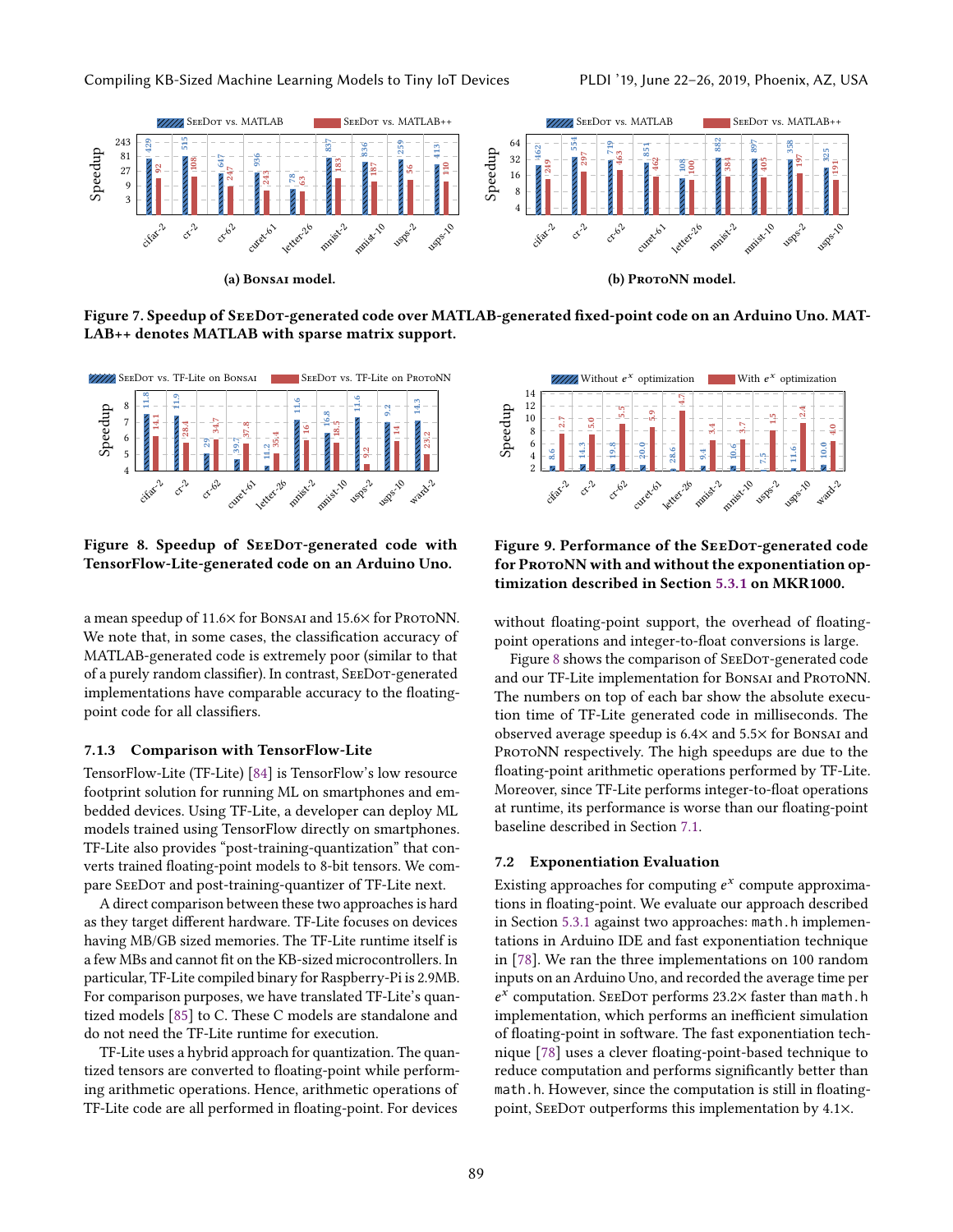<span id="page-10-1"></span>

Figure 7. Speedup of SeeDot-generated code over MATLAB-generated fixed-point code on an Arduino Uno. MAT-LAB++ denotes MATLAB with sparse matrix support.

<span id="page-10-2"></span>

Figure 8. Speedup of SEEDOT-generated code with TensorFlow-Lite-generated code on an Arduino Uno.

a mean speedup of 11.6× for BonsAI and 15.6× for ProtoNN. We note that, in some cases, the classification accuracy of MATLAB-generated code is extremely poor (similar to that of a purely random classifier). In contrast, SeeDot-generated implementations have comparable accuracy to the floatingpoint code for all classifiers.

#### 7.1.3 Comparison with TensorFlow-Lite

TensorFlow-Lite (TF-Lite) [\[84\]](#page-16-4) is TensorFlow's low resource footprint solution for running ML on smartphones and embedded devices. Using TF-Lite, a developer can deploy ML models trained using TensorFlow directly on smartphones. TF-Lite also provides "post-training-quantization" that converts trained floating-point models to 8-bit tensors. We compare SeeDot and post-training-quantizer of TF-Lite next.

A direct comparison between these two approaches is hard as they target different hardware. TF-Lite focuses on devices having MB/GB sized memories. The TF-Lite runtime itself is a few MBs and cannot fit on the KB-sized microcontrollers. In particular, TF-Lite compiled binary for Raspberry-Pi is 2.9MB. For comparison purposes, we have translated TF-Lite's quantized models [\[85\]](#page-16-18) to C. These C models are standalone and do not need the TF-Lite runtime for execution.

TF-Lite uses a hybrid approach for quantization. The quantized tensors are converted to floating-point while performing arithmetic operations. Hence, arithmetic operations of TF-Lite code are all performed in floating-point. For devices

<span id="page-10-3"></span>



without floating-point support, the overhead of floatingpoint operations and integer-to-float conversions is large.

Figure [8](#page-10-2) shows the comparison of SEEDOT-generated code and our TF-Lite implementation for BONSAI and PROTONN. The numbers on top of each bar show the absolute execution time of TF-Lite generated code in milliseconds. The observed average speedup is 6.4× and 5.5× for Bonsai and PROTONN respectively. The high speedups are due to the floating-point arithmetic operations performed by TF-Lite. Moreover, since TF-Lite performs integer-to-float operations at runtime, its performance is worse than our floating-point baseline described in Section [7.1.](#page-9-1)

#### <span id="page-10-0"></span>7.2 Exponentiation Evaluation

Existing approaches for computing  $e^x$  compute approximations in floating-point. We evaluate our approach described tions in floating-point. We evaluate our approach described in Section [5.3.1](#page-5-0) against two approaches: math.h implementations in Arduino IDE and fast exponentiation technique in [\[78\]](#page-16-12). We ran the three implementations on 100 random inputs on an Arduino Uno, and recorded the average time per e implementation, which performs an inefficient simulation  $^x$  computation. SEEDOT performs 23.2 $\times$  faster than <code>math.h</code> of floating-point in software. The fast exponentiation technique [\[78\]](#page-16-12) uses a clever floating-point-based technique to reduce computation and performs significantly better than math.h. However, since the computation is still in floatingpoint, SeeDot outperforms this implementation by 4.1×.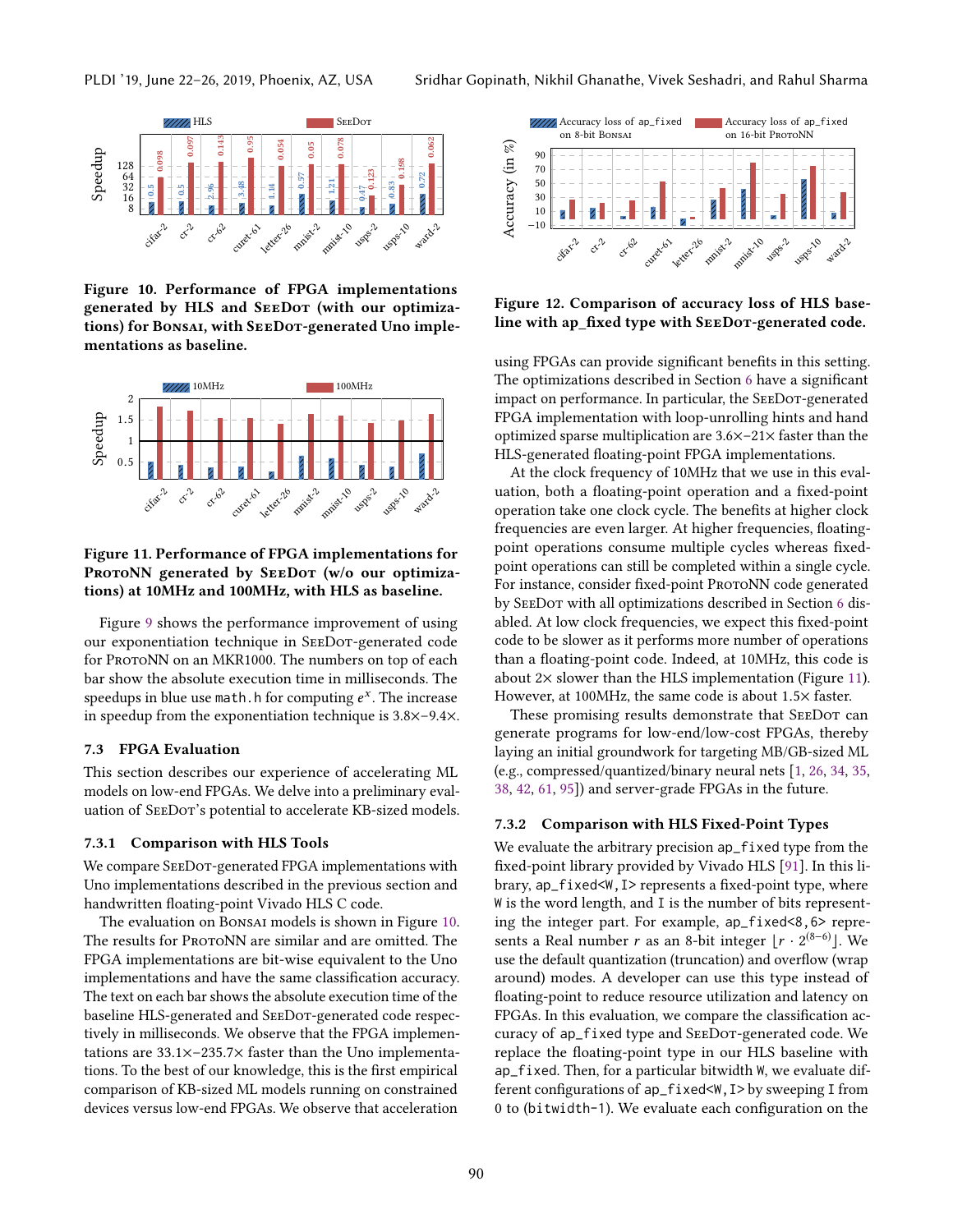<span id="page-11-2"></span>

Figure 10. Performance of FPGA implementations generated by HLS and SeeDot (with our optimizations) for Bonsai, with SEEDOT-generated Uno implementations as baseline.

<span id="page-11-3"></span>

# Figure 11. Performance of FPGA implementations for PROTONN generated by SEEDOT (w/o our optimizations) at 10MHz and 100MHz, with HLS as baseline.

Figure [9](#page-10-3) shows the performance improvement of using our exponentiation technique in SeeDot-generated code for ProtoNN on an MKR1000. The numbers on top of each bar show the absolute execution time in milliseconds. The speedups in blue use math.h for computing  $e^x$ . The increase<br>in speedup from the exponentiation technique is  $3.8 \times -9.4 \times$ in speedup from the exponentiation technique is 3.8×–9.4×.

## 7.3 FPGA Evaluation

This section describes our experience of accelerating ML models on low-end FPGAs. We delve into a preliminary evaluation of SEEDOT's potential to accelerate KB-sized models.

#### <span id="page-11-1"></span>7.3.1 Comparison with HLS Tools

We compare SEEDOT-generated FPGA implementations with Uno implementations described in the previous section and handwritten floating-point Vivado HLS C code.

The evaluation on Bonsai models is shown in Figure [10.](#page-11-2) The results for PROTONN are similar and are omitted. The FPGA implementations are bit-wise equivalent to the Uno implementations and have the same classification accuracy. The text on each bar shows the absolute execution time of the baseline HLS-generated and SeeDot-generated code respectively in milliseconds. We observe that the FPGA implementations are 33.1×–235.7× faster than the Uno implementations. To the best of our knowledge, this is the first empirical comparison of KB-sized ML models running on constrained devices versus low-end FPGAs. We observe that acceleration

<span id="page-11-4"></span>

# Figure 12. Comparison of accuracy loss of HLS baseline with ap\_fixed type with SEEDOT-generated code.

using FPGAs can provide significant benefits in this setting. The optimizations described in Section [6](#page-7-0) have a significant impact on performance. In particular, the SEEDOT-generated FPGA implementation with loop-unrolling hints and hand optimized sparse multiplication are 3.6×–21× faster than the HLS-generated floating-point FPGA implementations.

At the clock frequency of 10MHz that we use in this evaluation, both a floating-point operation and a fixed-point operation take one clock cycle. The benefits at higher clock frequencies are even larger. At higher frequencies, floatingpoint operations consume multiple cycles whereas fixedpoint operations can still be completed within a single cycle. For instance, consider fixed-point ProtoNN code generated by SeeDot with all optimizations described in Section [6](#page-7-0) disabled. At low clock frequencies, we expect this fixed-point code to be slower as it performs more number of operations than a floating-point code. Indeed, at 10MHz, this code is about 2× slower than the HLS implementation (Figure [11\)](#page-11-3). However, at 100MHz, the same code is about <sup>1</sup>.5<sup>×</sup> faster.

These promising results demonstrate that SEEDOT can generate programs for low-end/low-cost FPGAs, thereby laying an initial groundwork for targeting MB/GB-sized ML (e.g., compressed/quantized/binary neural nets [\[1,](#page-14-14) [26,](#page-14-15) [34,](#page-15-17) [35,](#page-15-18) [38,](#page-15-19) [42,](#page-15-20) [61,](#page-15-21) [95\]](#page-16-19)) and server-grade FPGAs in the future.

#### <span id="page-11-0"></span>7.3.2 Comparison with HLS Fixed-Point Types

We evaluate the arbitrary precision ap\_fixed type from the fixed-point library provided by Vivado HLS [\[91\]](#page-16-20). In this library, ap\_fixed<W,I> represents a fixed-point type, where W is the word length, and I is the number of bits representing the integer part. For example, ap\_fixed<8,6> represents a Real number r as an 8-bit integer  $[r \cdot 2^{(8-6)}]$ . We use the default quantization (truncation) and overflow (wrap around) modes. A developer can use this type instead of floating-point to reduce resource utilization and latency on FPGAs. In this evaluation, we compare the classification accuracy of ap\_fixed type and SeeDot-generated code. We replace the floating-point type in our HLS baseline with ap\_fixed. Then, for a particular bitwidth W, we evaluate different configurations of ap\_fixed<W,I> by sweeping I from 0 to (bitwidth-1). We evaluate each configuration on the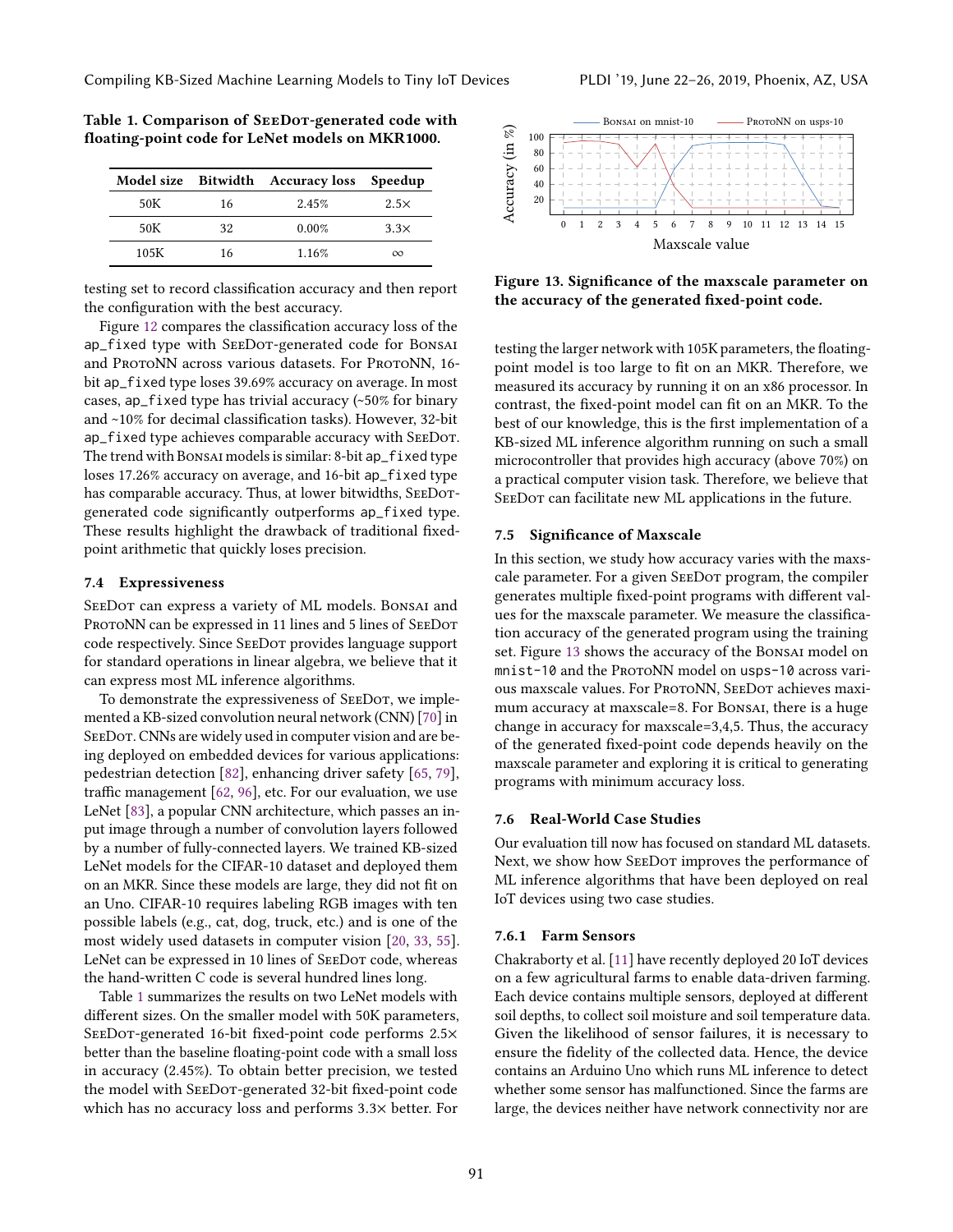|      |    | Model size Bitwidth Accuracy loss Speedup |             |
|------|----|-------------------------------------------|-------------|
| 50K  | 16 | 2.45%                                     | $2.5\times$ |
| 50K  | 32 | 0.00%                                     | 3.3x        |
| 105K | 16 | 1.16%                                     | $\infty$    |

<span id="page-12-1"></span>Table 1. Comparison of SeeDot-generated code with floating-point code for LeNet models on MKR1000.

testing set to record classification accuracy and then report the configuration with the best accuracy.

Figure [12](#page-11-4) compares the classification accuracy loss of the ap\_fixed type with SeeDot-generated code for Bonsai and ProtoNN across various datasets. For ProtoNN, 16bit ap\_fixed type loses 39.69% accuracy on average. In most cases, ap\_fixed type has trivial accuracy (~50% for binary and ~10% for decimal classification tasks). However, 32-bit ap\_fixed type achieves comparable accuracy with SeeDot. The trend with Bonsai models is similar: 8-bit ap\_fixed type loses 17.26% accuracy on average, and 16-bit ap\_fixed type has comparable accuracy. Thus, at lower bitwidths, SEEDOTgenerated code significantly outperforms ap\_fixed type. These results highlight the drawback of traditional fixedpoint arithmetic that quickly loses precision.

# <span id="page-12-0"></span>7.4 Expressiveness

SEEDOT can express a variety of ML models. BONSAI and PROTONN can be expressed in 11 lines and 5 lines of SEEDOT code respectively. Since SeeDot provides language support for standard operations in linear algebra, we believe that it can express most ML inference algorithms.

To demonstrate the expressiveness of SEEDOT, we implemented a KB-sized convolution neural network (CNN) [\[70\]](#page-16-10) in SEEDOT. CNNs are widely used in computer vision and are being deployed on embedded devices for various applications: pedestrian detection [\[82\]](#page-16-21), enhancing driver safety [\[65,](#page-16-22) [79\]](#page-16-23), traffic management [\[62,](#page-15-22) [96\]](#page-16-24), etc. For our evaluation, we use LeNet [\[83\]](#page-16-7), a popular CNN architecture, which passes an input image through a number of convolution layers followed by a number of fully-connected layers. We trained KB-sized LeNet models for the CIFAR-10 dataset and deployed them on an MKR. Since these models are large, they did not fit on an Uno. CIFAR-10 requires labeling RGB images with ten possible labels (e.g., cat, dog, truck, etc.) and is one of the most widely used datasets in computer vision [\[20,](#page-14-16) [33,](#page-15-23) [55\]](#page-15-24). LeNet can be expressed in 10 lines of SEEDOT code, whereas the hand-written C code is several hundred lines long.

Table [1](#page-12-1) summarizes the results on two LeNet models with different sizes. On the smaller model with 50K parameters, SEEDOT-generated 16-bit fixed-point code performs 2.5× better than the baseline floating-point code with a small loss in accuracy (2.45%). To obtain better precision, we tested the model with SeeDot-generated 32-bit fixed-point code which has no accuracy loss and performs <sup>3</sup>.3<sup>×</sup> better. For

<span id="page-12-2"></span>

Figure 13. Significance of the maxscale parameter on the accuracy of the generated fixed-point code.

testing the larger network with 105K parameters, the floatingpoint model is too large to fit on an MKR. Therefore, we measured its accuracy by running it on an x86 processor. In contrast, the fixed-point model can fit on an MKR. To the best of our knowledge, this is the first implementation of a KB-sized ML inference algorithm running on such a small microcontroller that provides high accuracy (above 70%) on a practical computer vision task. Therefore, we believe that SEEDOT can facilitate new ML applications in the future.

#### 7.5 Significance of Maxscale

In this section, we study how accuracy varies with the maxscale parameter. For a given SeeDot program, the compiler generates multiple fixed-point programs with different values for the maxscale parameter. We measure the classification accuracy of the generated program using the training set. Figure [13](#page-12-2) shows the accuracy of the Bonsai model on mnist-10 and the ProtoNN model on usps-10 across various maxscale values. For PROTONN, SEEDOT achieves maximum accuracy at maxscale=8. For Bonsai, there is a huge change in accuracy for maxscale=3,4,5. Thus, the accuracy of the generated fixed-point code depends heavily on the maxscale parameter and exploring it is critical to generating programs with minimum accuracy loss.

# 7.6 Real-World Case Studies

Our evaluation till now has focused on standard ML datasets. Next, we show how SeeDot improves the performance of ML inference algorithms that have been deployed on real IoT devices using two case studies.

## 7.6.1 Farm Sensors

Chakraborty et al. [\[11\]](#page-14-17) have recently deployed 20 IoT devices on a few agricultural farms to enable data-driven farming. Each device contains multiple sensors, deployed at different soil depths, to collect soil moisture and soil temperature data. Given the likelihood of sensor failures, it is necessary to ensure the fidelity of the collected data. Hence, the device contains an Arduino Uno which runs ML inference to detect whether some sensor has malfunctioned. Since the farms are large, the devices neither have network connectivity nor are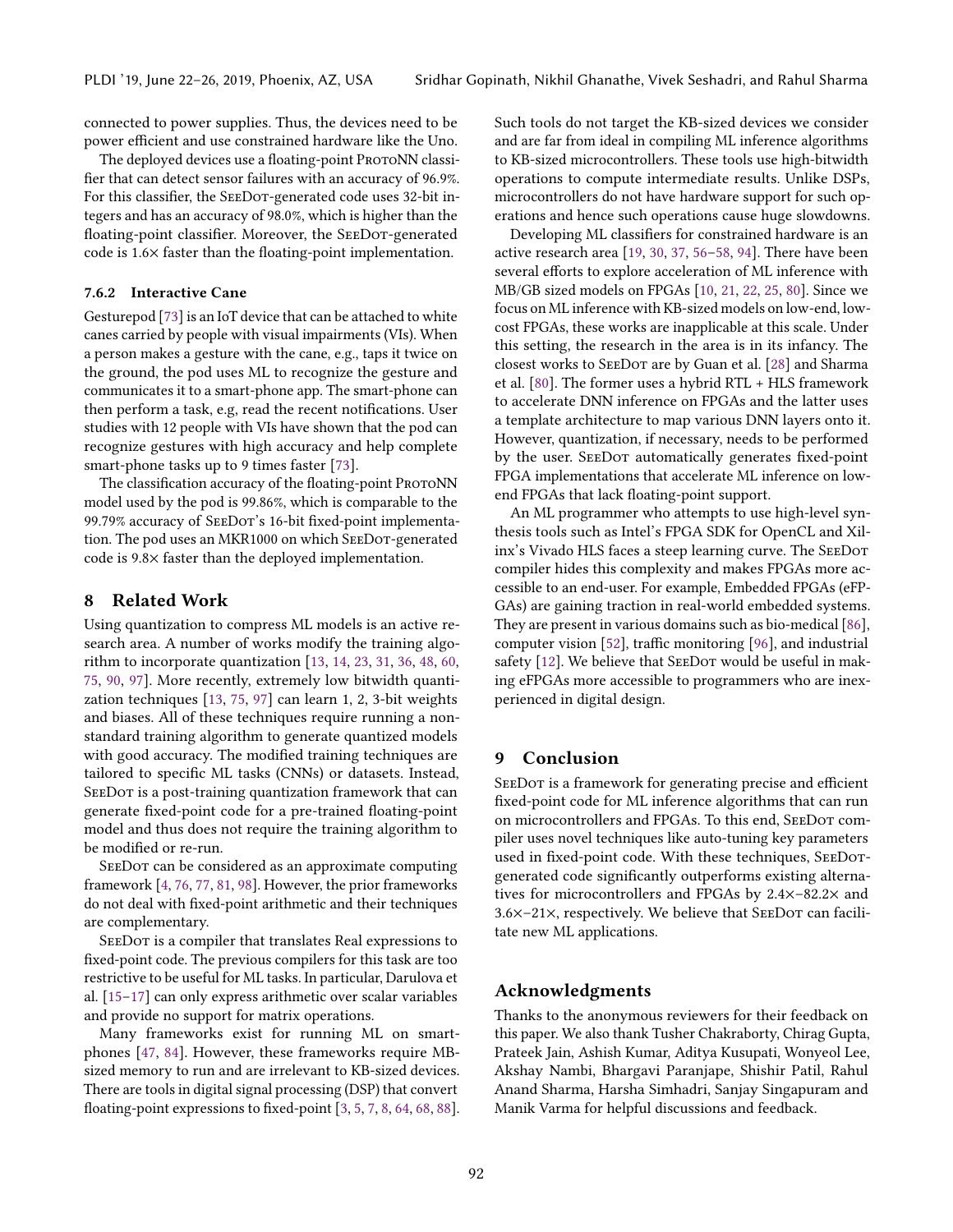connected to power supplies. Thus, the devices need to be power efficient and use constrained hardware like the Uno.

The deployed devices use a floating-point ProtoNN classifier that can detect sensor failures with an accuracy of 96.9%. For this classifier, the SEEDOT-generated code uses 32-bit integers and has an accuracy of 98.0%, which is higher than the floating-point classifier. Moreover, the SEEDOT-generated code is 1.6× faster than the floating-point implementation.

# 7.6.2 Interactive Cane

Gesturepod [\[73\]](#page-16-25) is an IoT device that can be attached to white canes carried by people with visual impairments (VIs). When a person makes a gesture with the cane, e.g., taps it twice on the ground, the pod uses ML to recognize the gesture and communicates it to a smart-phone app. The smart-phone can then perform a task, e.g, read the recent notifications. User studies with 12 people with VIs have shown that the pod can recognize gestures with high accuracy and help complete smart-phone tasks up to 9 times faster [\[73\]](#page-16-25).

The classification accuracy of the floating-point ProtoNN model used by the pod is 99.86%, which is comparable to the 99.79% accuracy of SEEDOT's 16-bit fixed-point implementation. The pod uses an MKR1000 on which SeeDot-generated code is 9.8× faster than the deployed implementation.

# 8 Related Work

Using quantization to compress ML models is an active research area. A number of works modify the training algorithm to incorporate quantization [\[13,](#page-14-18) [14,](#page-14-19) [23,](#page-14-20) [31,](#page-15-25) [36,](#page-15-26) [48,](#page-15-27) [60,](#page-15-28) [75,](#page-16-26) [90,](#page-16-27) [97\]](#page-16-28). More recently, extremely low bitwidth quantization techniques [\[13,](#page-14-18) [75,](#page-16-26) [97\]](#page-16-28) can learn 1, 2, 3-bit weights and biases. All of these techniques require running a nonstandard training algorithm to generate quantized models with good accuracy. The modified training techniques are tailored to specific ML tasks (CNNs) or datasets. Instead, SEEDOT is a post-training quantization framework that can generate fixed-point code for a pre-trained floating-point model and thus does not require the training algorithm to be modified or re-run.

SEEDOT can be considered as an approximate computing framework [\[4,](#page-14-21) [76,](#page-16-29) [77,](#page-16-30) [81,](#page-16-31) [98\]](#page-16-32). However, the prior frameworks do not deal with fixed-point arithmetic and their techniques are complementary.

SEEDOT is a compiler that translates Real expressions to fixed-point code. The previous compilers for this task are too restrictive to be useful for ML tasks. In particular, Darulova et al. [\[15](#page-14-22)[–17\]](#page-14-23) can only express arithmetic over scalar variables and provide no support for matrix operations.

Many frameworks exist for running ML on smartphones [\[47,](#page-15-29) [84\]](#page-16-4). However, these frameworks require MBsized memory to run and are irrelevant to KB-sized devices. There are tools in digital signal processing (DSP) that convert floating-point expressions to fixed-point [\[3,](#page-14-4) [5,](#page-14-5) [7,](#page-14-6) [8,](#page-14-7) [64,](#page-15-6) [68,](#page-16-5) [88\]](#page-16-6). Such tools do not target the KB-sized devices we consider and are far from ideal in compiling ML inference algorithms to KB-sized microcontrollers. These tools use high-bitwidth operations to compute intermediate results. Unlike DSPs, microcontrollers do not have hardware support for such operations and hence such operations cause huge slowdowns.

Developing ML classifiers for constrained hardware is an active research area [\[19,](#page-14-24) [30,](#page-14-2) [37,](#page-15-30) [56–](#page-15-4)[58,](#page-15-31) [94\]](#page-16-33). There have been several efforts to explore acceleration of ML inference with MB/GB sized models on FPGAs [\[10,](#page-14-12) [21,](#page-14-25) [22,](#page-14-26) [25,](#page-14-27) [80\]](#page-16-15). Since we focus on ML inference with KB-sized models on low-end, lowcost FPGAs, these works are inapplicable at this scale. Under this setting, the research in the area is in its infancy. The closest works to SeeDot are by Guan et al. [\[28\]](#page-14-11) and Sharma et al. [\[80\]](#page-16-15). The former uses a hybrid RTL + HLS framework to accelerate DNN inference on FPGAs and the latter uses a template architecture to map various DNN layers onto it. However, quantization, if necessary, needs to be performed by the user. SeeDot automatically generates fixed-point FPGA implementations that accelerate ML inference on lowend FPGAs that lack floating-point support.

An ML programmer who attempts to use high-level synthesis tools such as Intel's FPGA SDK for OpenCL and Xilinx's Vivado HLS faces a steep learning curve. The SeeDot compiler hides this complexity and makes FPGAs more accessible to an end-user. For example, Embedded FPGAs (eFP-GAs) are gaining traction in real-world embedded systems. They are present in various domains such as bio-medical [\[86\]](#page-16-34), computer vision [\[52\]](#page-15-32), traffic monitoring [\[96\]](#page-16-24), and industrial safety [\[12\]](#page-14-28). We believe that SEEDOT would be useful in making eFPGAs more accessible to programmers who are inexperienced in digital design.

# 9 Conclusion

SEEDOT is a framework for generating precise and efficient fixed-point code for ML inference algorithms that can run on microcontrollers and FPGAs. To this end, SEEDOT compiler uses novel techniques like auto-tuning key parameters used in fixed-point code. With these techniques, SeeDotgenerated code significantly outperforms existing alternatives for microcontrollers and FPGAs by 2.4×–82.2× and 3.6×–21×, respectively. We believe that SeeDot can facilitate new ML applications.

# Acknowledgments

Thanks to the anonymous reviewers for their feedback on this paper. We also thank Tusher Chakraborty, Chirag Gupta, Prateek Jain, Ashish Kumar, Aditya Kusupati, Wonyeol Lee, Akshay Nambi, Bhargavi Paranjape, Shishir Patil, Rahul Anand Sharma, Harsha Simhadri, Sanjay Singapuram and Manik Varma for helpful discussions and feedback.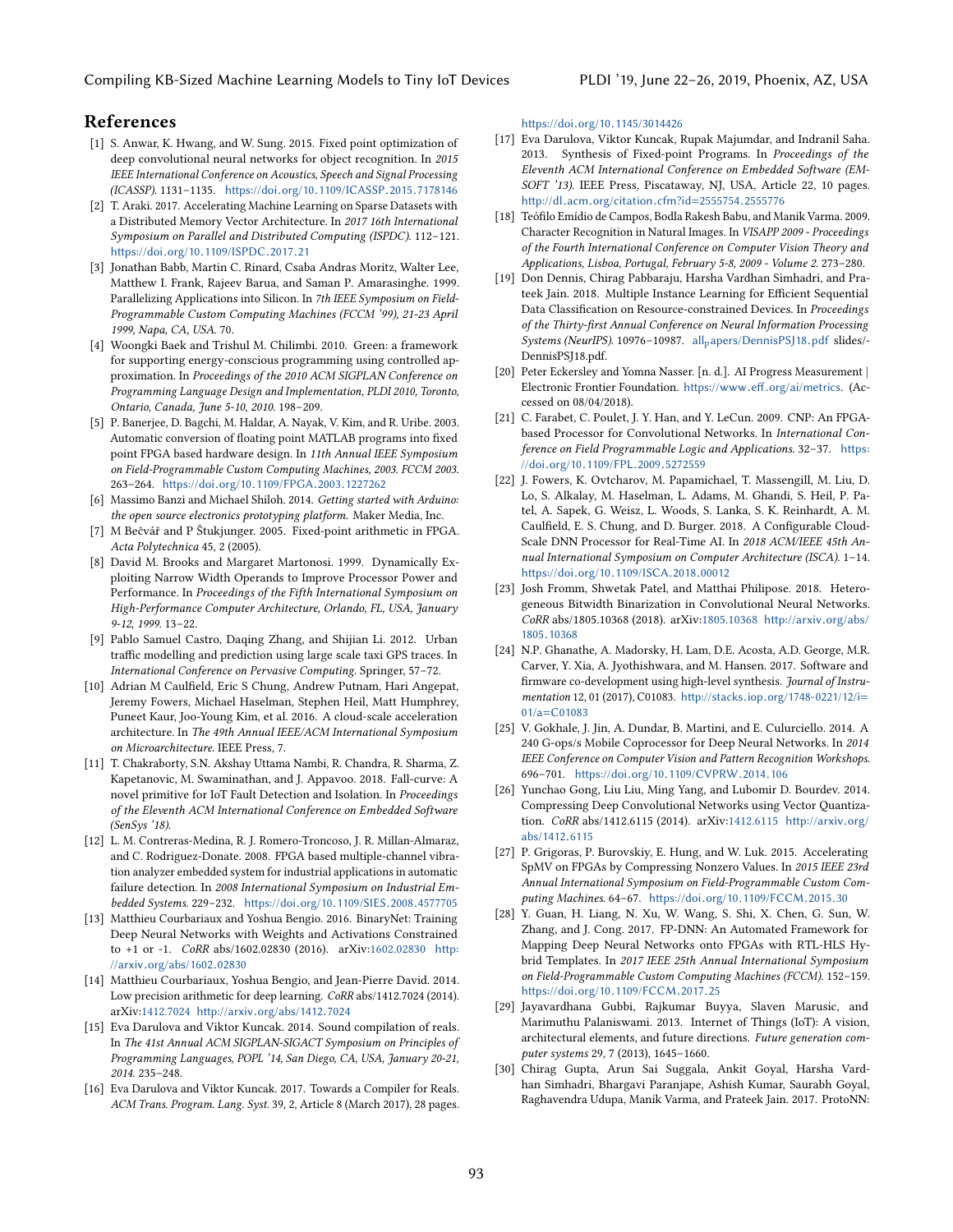# References

- <span id="page-14-14"></span>[1] S. Anwar, K. Hwang, and W. Sung. 2015. Fixed point optimization of deep convolutional neural networks for object recognition. In 2015 IEEE International Conference on Acoustics, Speech and Signal Processing (ICASSP). 1131–1135. https://doi.org/10.[1109/ICASSP](https://doi.org/10.1109/ICASSP.2015.7178146).2015.<sup>7178146</sup>
- <span id="page-14-8"></span>[2] T. Araki. 2017. Accelerating Machine Learning on Sparse Datasets with a Distributed Memory Vector Architecture. In 2017 16th International Symposium on Parallel and Distributed Computing (ISPDC). 112–121. https://doi.org/10.[1109/ISPDC](https://doi.org/10.1109/ISPDC.2017.21).2017.<sup>21</sup>
- <span id="page-14-4"></span>[3] Jonathan Babb, Martin C. Rinard, Csaba Andras Moritz, Walter Lee, Matthew I. Frank, Rajeev Barua, and Saman P. Amarasinghe. 1999. Parallelizing Applications into Silicon. In 7th IEEE Symposium on Field-Programmable Custom Computing Machines (FCCM '99), 21-23 April 1999, Napa, CA, USA. 70.
- <span id="page-14-21"></span>[4] Woongki Baek and Trishul M. Chilimbi. 2010. Green: a framework for supporting energy-conscious programming using controlled approximation. In Proceedings of the 2010 ACM SIGPLAN Conference on Programming Language Design and Implementation, PLDI 2010, Toronto, Ontario, Canada, June 5-10, 2010. 198–209.
- <span id="page-14-5"></span>[5] P. Banerjee, D. Bagchi, M. Haldar, A. Nayak, V. Kim, and R. Uribe. 2003. Automatic conversion of floating point MATLAB programs into fixed point FPGA based hardware design. In 11th Annual IEEE Symposium on Field-Programmable Custom Computing Machines, 2003. FCCM 2003. 263–264. https://doi.org/10.[1109/FPGA](https://doi.org/10.1109/FPGA.2003.1227262).2003.<sup>1227262</sup>
- <span id="page-14-3"></span>[6] Massimo Banzi and Michael Shiloh. 2014. Getting started with Arduino: the open source electronics prototyping platform. Maker Media, Inc.
- <span id="page-14-6"></span>[7] M Bečvář and P Štukjunger. 2005. Fixed-point arithmetic in FPGA. Acta Polytechnica 45, 2 (2005).
- <span id="page-14-7"></span>[8] David M. Brooks and Margaret Martonosi. 1999. Dynamically Exploiting Narrow Width Operands to Improve Processor Power and Performance. In Proceedings of the Fifth International Symposium on High-Performance Computer Architecture, Orlando, FL, USA, January 9-12, 1999. 13–22.
- <span id="page-14-0"></span>[9] Pablo Samuel Castro, Daqing Zhang, and Shijian Li. 2012. Urban traffic modelling and prediction using large scale taxi GPS traces. In International Conference on Pervasive Computing. Springer, 57–72.
- <span id="page-14-12"></span>[10] Adrian M Caulfield, Eric S Chung, Andrew Putnam, Hari Angepat, Jeremy Fowers, Michael Haselman, Stephen Heil, Matt Humphrey, Puneet Kaur, Joo-Young Kim, et al. 2016. A cloud-scale acceleration architecture. In The 49th Annual IEEE/ACM International Symposium on Microarchitecture. IEEE Press, 7.
- <span id="page-14-17"></span>[11] T. Chakraborty, S.N. Akshay Uttama Nambi, R. Chandra, R. Sharma, Z. Kapetanovic, M. Swaminathan, and J. Appavoo. 2018. Fall-curve: A novel primitive for IoT Fault Detection and Isolation. In Proceedings of the Eleventh ACM International Conference on Embedded Software (SenSys '18).
- <span id="page-14-28"></span>[12] L. M. Contreras-Medina, R. J. Romero-Troncoso, J. R. Millan-Almaraz, and C. Rodriguez-Donate. 2008. FPGA based multiple-channel vibration analyzer embedded system for industrial applications in automatic failure detection. In 2008 International Symposium on Industrial Embedded Systems. 229–232. [https://doi](https://doi.org/10.1109/SIES.2008.4577705).org/10.1109/SIES.2008.<sup>4577705</sup>
- <span id="page-14-18"></span>[13] Matthieu Courbariaux and Yoshua Bengio. 2016. BinaryNet: Training Deep Neural Networks with Weights and Activations Constrained to +1 or -1. CoRR abs/1602.02830 (2016). arXiv[:1602.02830](http://arxiv.org/abs/1602.02830) [http:](http://arxiv.org/abs/1602.02830) //arxiv.[org/abs/1602](http://arxiv.org/abs/1602.02830).<sup>02830</sup>
- <span id="page-14-19"></span>[14] Matthieu Courbariaux, Yoshua Bengio, and Jean-Pierre David. 2014. Low precision arithmetic for deep learning. CoRR abs/1412.7024 (2014). arXiv[:1412.7024](http://arxiv.org/abs/1412.7024) http://arxiv.[org/abs/1412](http://arxiv.org/abs/1412.7024).<sup>7024</sup>
- <span id="page-14-22"></span>[15] Eva Darulova and Viktor Kuncak. 2014. Sound compilation of reals. In The 41st Annual ACM SIGPLAN-SIGACT Symposium on Principles of Programming Languages, POPL '14, San Diego, CA, USA, January 20-21, 2014. 235–248.
- [16] Eva Darulova and Viktor Kuncak. 2017. Towards a Compiler for Reals. ACM Trans. Program. Lang. Syst. 39, 2, Article 8 (March 2017), 28 pages.

https://doi.org/10.[1145/3014426](https://doi.org/10.1145/3014426)

- <span id="page-14-23"></span>[17] Eva Darulova, Viktor Kuncak, Rupak Majumdar, and Indranil Saha. 2013. Synthesis of Fixed-point Programs. In Proceedings of the Eleventh ACM International Conference on Embedded Software (EM-SOFT '13). IEEE Press, Piscataway, NJ, USA, Article 22, 10 pages. http://dl.acm.[org/citation](http://dl.acm.org/citation.cfm?id=2555754.2555776).cfm?id=2555754.<sup>2555776</sup>
- <span id="page-14-13"></span>[18] Teófilo Emídio de Campos, Bodla Rakesh Babu, and Manik Varma. 2009. Character Recognition in Natural Images. In VISAPP 2009 - Proceedings of the Fourth International Conference on Computer Vision Theory and Applications, Lisboa, Portugal, February 5-8, 2009 - Volume 2. 273–280.
- <span id="page-14-24"></span>[19] Don Dennis, Chirag Pabbaraju, Harsha Vardhan Simhadri, and Prateek Jain. 2018. Multiple Instance Learning for Efficient Sequential Data Classification on Resource-constrained Devices. In Proceedings of the Thirty-first Annual Conference on Neural Information Processing Systems (NeurIPS). 10976-10987. all<sub>p</sub>[apers/DennisPSJ18](all_papers/DennisPSJ18.pdf).pdf slides/-DennisPSJ18.pdf.
- <span id="page-14-16"></span>[20] Peter Eckersley and Yomna Nasser. [n. d.]. AI Progress Measurement | Electronic Frontier Foundation. https://www.eff.[org/ai/metrics](https://www.eff.org/ai/metrics). (Accessed on 08/04/2018).
- <span id="page-14-25"></span>[21] C. Farabet, C. Poulet, J. Y. Han, and Y. LeCun. 2009. CNP: An FPGAbased Processor for Convolutional Networks. In International Conference on Field Programmable Logic and Applications. 32–37. [https:](https://doi.org/10.1109/FPL.2009.5272559) //doi.org/10.[1109/FPL](https://doi.org/10.1109/FPL.2009.5272559).2009.<sup>5272559</sup>
- <span id="page-14-26"></span>[22] J. Fowers, K. Ovtcharov, M. Papamichael, T. Massengill, M. Liu, D. Lo, S. Alkalay, M. Haselman, L. Adams, M. Ghandi, S. Heil, P. Patel, A. Sapek, G. Weisz, L. Woods, S. Lanka, S. K. Reinhardt, A. M. Caulfield, E. S. Chung, and D. Burger. 2018. A Configurable Cloud-Scale DNN Processor for Real-Time AI. In 2018 ACM/IEEE 45th Annual International Symposium on Computer Architecture (ISCA). 1–14. https://doi.org/10.[1109/ISCA](https://doi.org/10.1109/ISCA.2018.00012).2018.<sup>00012</sup>
- <span id="page-14-20"></span>[23] Josh Fromm, Shwetak Patel, and Matthai Philipose. 2018. Heterogeneous Bitwidth Binarization in Convolutional Neural Networks. CoRR abs/1805.10368 (2018). arXiv[:1805.10368](http://arxiv.org/abs/1805.10368) [http://arxiv](http://arxiv.org/abs/1805.10368).org/abs/ <sup>1805</sup>.[10368](http://arxiv.org/abs/1805.10368)
- <span id="page-14-10"></span>[24] N.P. Ghanathe, A. Madorsky, H. Lam, D.E. Acosta, A.D. George, M.R. Carver, Y. Xia, A. Jyothishwara, and M. Hansen. 2017. Software and firmware co-development using high-level synthesis. Journal of Instrumentation 12, 01 (2017), C01083. http://stacks.iop.[org/1748-0221/12/i](http://stacks.iop.org/1748-0221/12/i=01/a=C01083)<sup>=</sup> 01/a=[C01083](http://stacks.iop.org/1748-0221/12/i=01/a=C01083)
- <span id="page-14-27"></span>[25] V. Gokhale, J. Jin, A. Dundar, B. Martini, and E. Culurciello. 2014. A 240 G-ops/s Mobile Coprocessor for Deep Neural Networks. In 2014 IEEE Conference on Computer Vision and Pattern Recognition Workshops. 696–701. https://doi.org/10.[1109/CVPRW](https://doi.org/10.1109/CVPRW.2014.106).2014.<sup>106</sup>
- <span id="page-14-15"></span>[26] Yunchao Gong, Liu Liu, Ming Yang, and Lubomir D. Bourdev. 2014. Compressing Deep Convolutional Networks using Vector Quantization. CoRR abs/1412.6115 (2014). arXiv[:1412.6115](http://arxiv.org/abs/1412.6115) [http://arxiv](http://arxiv.org/abs/1412.6115).org/ [abs/1412](http://arxiv.org/abs/1412.6115).<sup>6115</sup>
- <span id="page-14-9"></span>[27] P. Grigoras, P. Burovskiy, E. Hung, and W. Luk. 2015. Accelerating SpMV on FPGAs by Compressing Nonzero Values. In 2015 IEEE 23rd Annual International Symposium on Field-Programmable Custom Computing Machines. 64–67. https://doi.org/10.[1109/FCCM](https://doi.org/10.1109/FCCM.2015.30).2015.<sup>30</sup>
- <span id="page-14-11"></span>[28] Y. Guan, H. Liang, N. Xu, W. Wang, S. Shi, X. Chen, G. Sun, W. Zhang, and J. Cong. 2017. FP-DNN: An Automated Framework for Mapping Deep Neural Networks onto FPGAs with RTL-HLS Hybrid Templates. In 2017 IEEE 25th Annual International Symposium on Field-Programmable Custom Computing Machines (FCCM). 152–159. https://doi.org/10.[1109/FCCM](https://doi.org/10.1109/FCCM.2017.25).2017.<sup>25</sup>
- <span id="page-14-1"></span>[29] Jayavardhana Gubbi, Rajkumar Buyya, Slaven Marusic, and Marimuthu Palaniswami. 2013. Internet of Things (IoT): A vision, architectural elements, and future directions. Future generation computer systems 29, 7 (2013), 1645–1660.
- <span id="page-14-2"></span>[30] Chirag Gupta, Arun Sai Suggala, Ankit Goyal, Harsha Vardhan Simhadri, Bhargavi Paranjape, Ashish Kumar, Saurabh Goyal, Raghavendra Udupa, Manik Varma, and Prateek Jain. 2017. ProtoNN: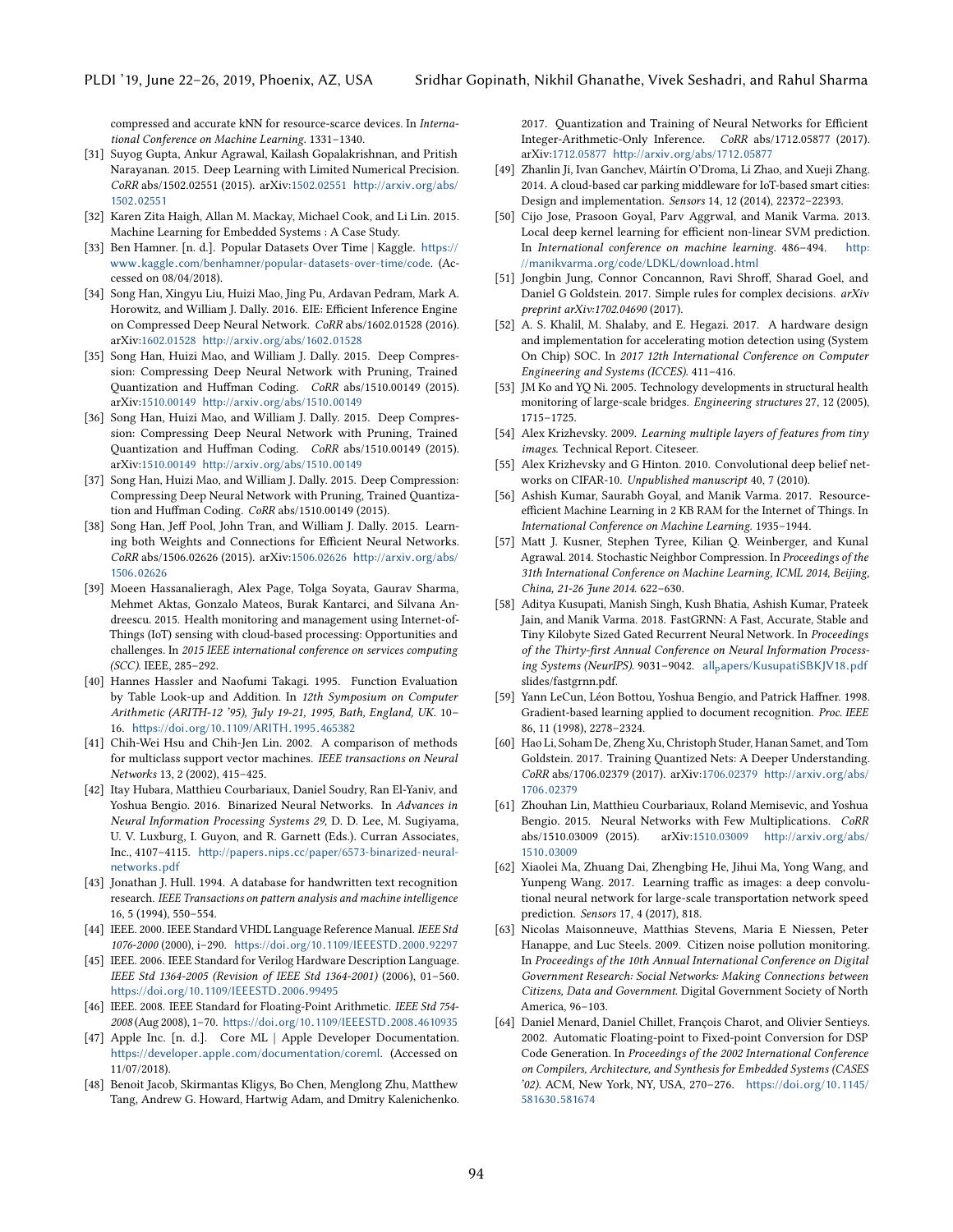compressed and accurate kNN for resource-scarce devices. In International Conference on Machine Learning. 1331–1340.

- <span id="page-15-25"></span>[31] Suyog Gupta, Ankur Agrawal, Kailash Gopalakrishnan, and Pritish Narayanan. 2015. Deep Learning with Limited Numerical Precision. CoRR abs/1502.02551 (2015). arXiv[:1502.02551](http://arxiv.org/abs/1502.02551) [http://arxiv](http://arxiv.org/abs/1502.02551).org/abs/ <sup>1502</sup>.[02551](http://arxiv.org/abs/1502.02551)
- <span id="page-15-12"></span>[32] Karen Zita Haigh, Allan M. Mackay, Michael Cook, and Li Lin. 2015. Machine Learning for Embedded Systems : A Case Study.
- <span id="page-15-23"></span>[33] Ben Hamner. [n. d.]. Popular Datasets Over Time | Kaggle. [https://](https://www.kaggle.com/benhamner/popular-datasets-over-time/code) www.kaggle.[com/benhamner/popular-datasets-over-time/code](https://www.kaggle.com/benhamner/popular-datasets-over-time/code). (Accessed on 08/04/2018).
- <span id="page-15-17"></span>[34] Song Han, Xingyu Liu, Huizi Mao, Jing Pu, Ardavan Pedram, Mark A. Horowitz, and William J. Dally. 2016. EIE: Efficient Inference Engine on Compressed Deep Neural Network. CoRR abs/1602.01528 (2016). arXiv[:1602.01528](http://arxiv.org/abs/1602.01528) http://arxiv.[org/abs/1602](http://arxiv.org/abs/1602.01528).<sup>01528</sup>
- <span id="page-15-18"></span>[35] Song Han, Huizi Mao, and William J. Dally. 2015. Deep Compression: Compressing Deep Neural Network with Pruning, Trained Quantization and Huffman Coding. CoRR abs/1510.00149 (2015). arXiv[:1510.00149](http://arxiv.org/abs/1510.00149) http://arxiv.[org/abs/1510](http://arxiv.org/abs/1510.00149).<sup>00149</sup>
- <span id="page-15-26"></span>[36] Song Han, Huizi Mao, and William J. Dally. 2015. Deep Compression: Compressing Deep Neural Network with Pruning, Trained Quantization and Huffman Coding. CoRR abs/1510.00149 (2015). arXiv[:1510.00149](http://arxiv.org/abs/1510.00149) http://arxiv.[org/abs/1510](http://arxiv.org/abs/1510.00149).<sup>00149</sup>
- <span id="page-15-30"></span>[37] Song Han, Huizi Mao, and William J. Dally. 2015. Deep Compression: Compressing Deep Neural Network with Pruning, Trained Quantization and Huffman Coding. CoRR abs/1510.00149 (2015).
- <span id="page-15-19"></span>[38] Song Han, Jeff Pool, John Tran, and William J. Dally. 2015. Learning both Weights and Connections for Efficient Neural Networks. CoRR abs/1506.02626 (2015). arXiv[:1506.02626](http://arxiv.org/abs/1506.02626) [http://arxiv](http://arxiv.org/abs/1506.02626).org/abs/ <sup>1506</sup>.[02626](http://arxiv.org/abs/1506.02626)
- <span id="page-15-2"></span>[39] Moeen Hassanalieragh, Alex Page, Tolga Soyata, Gaurav Sharma, Mehmet Aktas, Gonzalo Mateos, Burak Kantarci, and Silvana Andreescu. 2015. Health monitoring and management using Internet-of-Things (IoT) sensing with cloud-based processing: Opportunities and challenges. In 2015 IEEE international conference on services computing (SCC). IEEE, 285–292.
- <span id="page-15-9"></span>[40] Hannes Hassler and Naofumi Takagi. 1995. Function Evaluation by Table Look-up and Addition. In 12th Symposium on Computer Arithmetic (ARITH-12 '95), July 19-21, 1995, Bath, England, UK. 10– 16. https://doi.org/10.[1109/ARITH](https://doi.org/10.1109/ARITH.1995.465382).1995.<sup>465382</sup>
- <span id="page-15-13"></span>[41] Chih-Wei Hsu and Chih-Jen Lin. 2002. A comparison of methods for multiclass support vector machines. IEEE transactions on Neural Networks 13, 2 (2002), 415–425.
- <span id="page-15-20"></span>[42] Itay Hubara, Matthieu Courbariaux, Daniel Soudry, Ran El-Yaniv, and Yoshua Bengio. 2016. Binarized Neural Networks. In Advances in Neural Information Processing Systems 29, D. D. Lee, M. Sugiyama, U. V. Luxburg, I. Guyon, and R. Garnett (Eds.). Curran Associates, Inc., 4107–4115. http://papers.nips.[cc/paper/6573-binarized-neural](http://papers.nips.cc/paper/6573-binarized-neural-networks.pdf)[networks](http://papers.nips.cc/paper/6573-binarized-neural-networks.pdf).pdf
- <span id="page-15-15"></span>[43] Jonathan J. Hull. 1994. A database for handwritten text recognition research. IEEE Transactions on pattern analysis and machine intelligence 16, 5 (1994), 550–554.
- <span id="page-15-10"></span>[44] IEEE. 2000. IEEE Standard VHDL Language Reference Manual. IEEE Std 1076-2000 (2000), i–290. https://doi.org/10.[1109/IEEESTD](https://doi.org/10.1109/IEEESTD.2000.92297).2000.<sup>92297</sup>
- <span id="page-15-11"></span>[45] IEEE. 2006. IEEE Standard for Verilog Hardware Description Language. IEEE Std 1364-2005 (Revision of IEEE Std 1364-2001) (2006), 01–560. https://doi.org/10.[1109/IEEESTD](https://doi.org/10.1109/IEEESTD.2006.99495).2006.<sup>99495</sup>
- <span id="page-15-5"></span>[46] IEEE. 2008. IEEE Standard for Floating-Point Arithmetic. IEEE Std 754-<sup>2008</sup> (Aug 2008), 1–70. https://doi.org/10.[1109/IEEESTD](https://doi.org/10.1109/IEEESTD.2008.4610935).2008.<sup>4610935</sup>
- <span id="page-15-29"></span>[47] Apple Inc. [n. d.]. Core ML | Apple Developer Documentation. https://developer.apple.[com/documentation/coreml](https://developer.apple.com/documentation/coreml). (Accessed on 11/07/2018).
- <span id="page-15-27"></span>[48] Benoit Jacob, Skirmantas Kligys, Bo Chen, Menglong Zhu, Matthew Tang, Andrew G. Howard, Hartwig Adam, and Dmitry Kalenichenko.

2017. Quantization and Training of Neural Networks for Efficient Integer-Arithmetic-Only Inference. CoRR abs/1712.05877 (2017). arXiv[:1712.05877](http://arxiv.org/abs/1712.05877) http://arxiv.[org/abs/1712](http://arxiv.org/abs/1712.05877).<sup>05877</sup>

- <span id="page-15-3"></span>[49] Zhanlin Ji, Ivan Ganchev, Máirtín O'Droma, Li Zhao, and Xueji Zhang. 2014. A cloud-based car parking middleware for IoT-based smart cities: Design and implementation. Sensors 14, 12 (2014), 22372–22393.
- <span id="page-15-16"></span>[50] Cijo Jose, Prasoon Goyal, Parv Aggrwal, and Manik Varma. 2013. Local deep kernel learning for efficient non-linear SVM prediction. In International conference on machine learning. 486–494. [http:](http://manikvarma.org/code/LDKL/download.html) //manikvarma.[org/code/LDKL/download](http://manikvarma.org/code/LDKL/download.html).html
- <span id="page-15-8"></span>[51] Jongbin Jung, Connor Concannon, Ravi Shroff, Sharad Goel, and Daniel G Goldstein. 2017. Simple rules for complex decisions. arXiv preprint arXiv:1702.04690 (2017).
- <span id="page-15-32"></span>[52] A. S. Khalil, M. Shalaby, and E. Hegazi. 2017. A hardware design and implementation for accelerating motion detection using (System On Chip) SOC. In 2017 12th International Conference on Computer Engineering and Systems (ICCES). 411–416.
- <span id="page-15-0"></span>[53] JM Ko and YQ Ni. 2005. Technology developments in structural health monitoring of large-scale bridges. Engineering structures 27, 12 (2005), 1715–1725.
- <span id="page-15-7"></span>[54] Alex Krizhevsky. 2009. Learning multiple layers of features from tiny images. Technical Report. Citeseer.
- <span id="page-15-24"></span>[55] Alex Krizhevsky and G Hinton. 2010. Convolutional deep belief networks on CIFAR-10. Unpublished manuscript 40, 7 (2010).
- <span id="page-15-4"></span>[56] Ashish Kumar, Saurabh Goyal, and Manik Varma. 2017. Resourceefficient Machine Learning in 2 KB RAM for the Internet of Things. In International Conference on Machine Learning. 1935–1944.
- [57] Matt J. Kusner, Stephen Tyree, Kilian Q. Weinberger, and Kunal Agrawal. 2014. Stochastic Neighbor Compression. In Proceedings of the 31th International Conference on Machine Learning, ICML 2014, Beijing, China, 21-26 June 2014, 622-630.
- <span id="page-15-31"></span>[58] Aditya Kusupati, Manish Singh, Kush Bhatia, Ashish Kumar, Prateek Jain, and Manik Varma. 2018. FastGRNN: A Fast, Accurate, Stable and Tiny Kilobyte Sized Gated Recurrent Neural Network. In Proceedings of the Thirty-first Annual Conference on Neural Information Processing Systems (NeurIPS). 9031-9042. all<sub>p</sub>[apers/KusupatiSBKJV18](all_papers/KusupatiSBKJV18.pdf).pdf slides/fastgrnn.pdf.
- <span id="page-15-14"></span>[59] Yann LeCun, Léon Bottou, Yoshua Bengio, and Patrick Haffner. 1998. Gradient-based learning applied to document recognition. Proc. IEEE 86, 11 (1998), 2278–2324.
- <span id="page-15-28"></span>[60] Hao Li, Soham De, Zheng Xu, Christoph Studer, Hanan Samet, and Tom Goldstein. 2017. Training Quantized Nets: A Deeper Understanding. CoRR abs/1706.02379 (2017). arXiv[:1706.02379](http://arxiv.org/abs/1706.02379) [http://arxiv](http://arxiv.org/abs/1706.02379).org/abs/ <sup>1706</sup>.[02379](http://arxiv.org/abs/1706.02379)
- <span id="page-15-21"></span>[61] Zhouhan Lin, Matthieu Courbariaux, Roland Memisevic, and Yoshua Bengio. 2015. Neural Networks with Few Multiplications. CoRR abs/1510.03009 (2015). arXiv[:1510.03009](http://arxiv.org/abs/1510.03009) [http://arxiv](http://arxiv.org/abs/1510.03009).org/abs/ <sup>1510</sup>.[03009](http://arxiv.org/abs/1510.03009)
- <span id="page-15-22"></span>[62] Xiaolei Ma, Zhuang Dai, Zhengbing He, Jihui Ma, Yong Wang, and Yunpeng Wang. 2017. Learning traffic as images: a deep convolutional neural network for large-scale transportation network speed prediction. Sensors 17, 4 (2017), 818.
- <span id="page-15-1"></span>[63] Nicolas Maisonneuve, Matthias Stevens, Maria E Niessen, Peter Hanappe, and Luc Steels. 2009. Citizen noise pollution monitoring. In Proceedings of the 10th Annual International Conference on Digital Government Research: Social Networks: Making Connections between Citizens, Data and Government. Digital Government Society of North America, 96–103.
- <span id="page-15-6"></span>[64] Daniel Menard, Daniel Chillet, François Charot, and Olivier Sentieys. 2002. Automatic Floating-point to Fixed-point Conversion for DSP Code Generation. In Proceedings of the 2002 International Conference on Compilers, Architecture, and Synthesis for Embedded Systems (CASES '02). ACM, New York, NY, USA, 270–276. [https://doi](https://doi.org/10.1145/581630.581674).org/10.1145/ [581630](https://doi.org/10.1145/581630.581674).<sup>581674</sup>